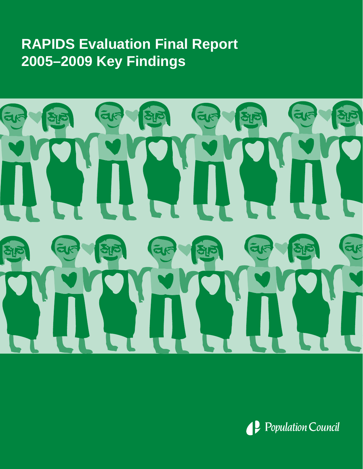# **RAPIDS Evaluation Final Report 2005–2009 Key Findings**



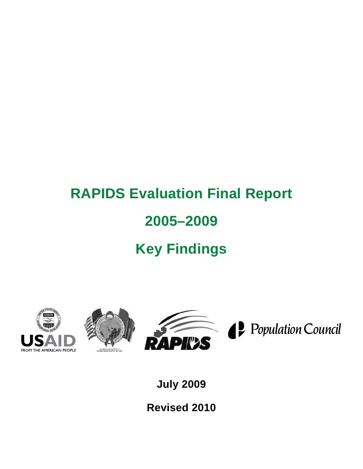# **RAPIDS Evaluation Final Report 2005–2009 Key Findings**







Population Council

**July 2009**

**Revised 2010**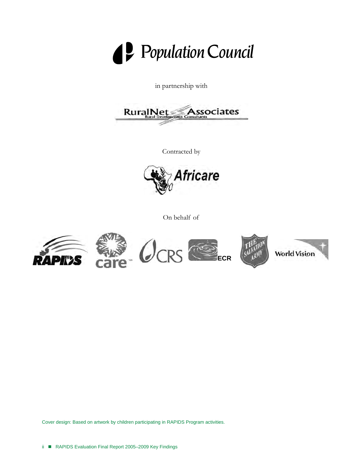

in partnership with



Contracted by



On behalf of



Cover design: Based on artwork by children participating in RAPIDS Program activities.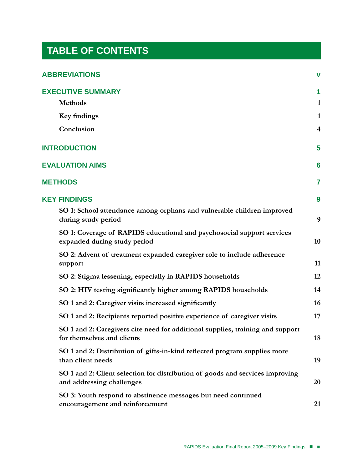# **TABLE OF CONTENTS**

| <b>ABBREVIATIONS</b>                                                                                         | $\mathbf v$             |
|--------------------------------------------------------------------------------------------------------------|-------------------------|
| <b>EXECUTIVE SUMMARY</b><br><b>Methods</b>                                                                   | 1<br>$\mathbf{1}$       |
| Key findings                                                                                                 | 1                       |
| Conclusion                                                                                                   | $\overline{\mathbf{4}}$ |
| <b>INTRODUCTION</b>                                                                                          | 5                       |
| <b>EVALUATION AIMS</b>                                                                                       | 6                       |
| <b>METHODS</b>                                                                                               | 7                       |
| <b>KEY FINDINGS</b>                                                                                          | 9                       |
| SO 1: School attendance among orphans and vulnerable children improved<br>during study period                | 9                       |
| SO 1: Coverage of RAPIDS educational and psychosocial support services<br>expanded during study period       | 10                      |
| SO 2: Advent of treatment expanded caregiver role to include adherence<br>support                            | 11                      |
| SO 2: Stigma lessening, especially in RAPIDS households                                                      | 12                      |
| SO 2: HIV testing significantly higher among RAPIDS households                                               | 14                      |
| SO 1 and 2: Caregiver visits increased significantly                                                         | 16                      |
| SO 1 and 2: Recipients reported positive experience of caregiver visits                                      | 17                      |
| SO 1 and 2: Caregivers cite need for additional supplies, training and support<br>for themselves and clients | 18                      |
| SO 1 and 2: Distribution of gifts-in-kind reflected program supplies more<br>than client needs               | 19                      |
| SO 1 and 2: Client selection for distribution of goods and services improving<br>and addressing challenges   | 20                      |
| SO 3: Youth respond to abstinence messages but need continued<br>encouragement and reinforcement             | 21                      |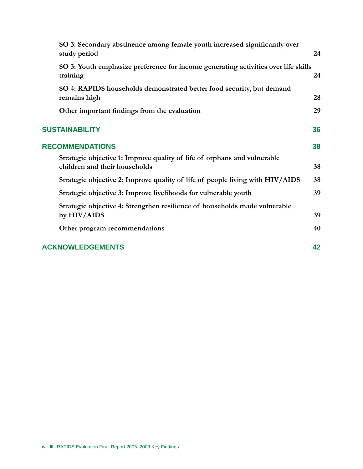| SO 3: Secondary abstinence among female youth increased significantly over<br>study period                | 24 |
|-----------------------------------------------------------------------------------------------------------|----|
| SO 3: Youth emphasize preference for income generating activities over life skills<br>training            | 24 |
| SO 4: RAPIDS households demonstrated better food security, but demand<br>remains high                     | 28 |
| Other important findings from the evaluation                                                              | 29 |
| <b>SUSTAINABILITY</b>                                                                                     | 36 |
| <b>RECOMMENDATIONS</b>                                                                                    | 38 |
| Strategic objective 1: Improve quality of life of orphans and vulnerable<br>children and their households | 38 |
| Strategic objective 2: Improve quality of life of people living with HIV/AIDS                             | 38 |
| Strategic objective 3: Improve livelihoods for vulnerable youth                                           | 39 |
| Strategic objective 4: Strengthen resilience of households made vulnerable<br>by HIV/AIDS                 | 39 |
| Other program recommendations                                                                             | 40 |
| <b>ACKNOWLEDGEMENTS</b>                                                                                   | 42 |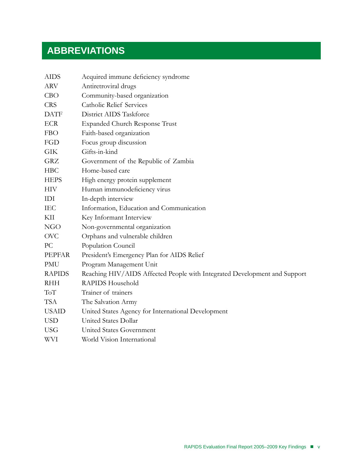# **ABBREVIATIONS**

| <b>AIDS</b>   | Acquired immune deficiency syndrome                                       |
|---------------|---------------------------------------------------------------------------|
| <b>ARV</b>    | Antiretroviral drugs                                                      |
| CBO           | Community-based organization                                              |
| <b>CRS</b>    | <b>Catholic Relief Services</b>                                           |
| <b>DATF</b>   | District AIDS Taskforce                                                   |
| <b>ECR</b>    | <b>Expanded Church Response Trust</b>                                     |
| FBO           | Faith-based organization                                                  |
| FGD           | Focus group discussion                                                    |
| <b>GIK</b>    | Gifts-in-kind                                                             |
| GRZ           | Government of the Republic of Zambia                                      |
| <b>HBC</b>    | Home-based care                                                           |
| <b>HEPS</b>   | High energy protein supplement                                            |
| <b>HIV</b>    | Human immunodeficiency virus                                              |
| IDI           | In-depth interview                                                        |
| <b>IEC</b>    | Information, Education and Communication                                  |
| KП            | Key Informant Interview                                                   |
| <b>NGO</b>    | Non-governmental organization                                             |
| <b>OVC</b>    | Orphans and vulnerable children                                           |
| PC            | Population Council                                                        |
| <b>PEPFAR</b> | President's Emergency Plan for AIDS Relief                                |
| PMU           | Program Management Unit                                                   |
| <b>RAPIDS</b> | Reaching HIV/AIDS Affected People with Integrated Development and Support |
| <b>RHH</b>    | RAPIDS Household                                                          |
| ToT           | Trainer of trainers                                                       |
| <b>TSA</b>    | The Salvation Army                                                        |
| <b>USAID</b>  | United States Agency for International Development                        |
| <b>USD</b>    | United States Dollar                                                      |
| <b>USG</b>    | United States Government                                                  |
| WVI           | World Vision International                                                |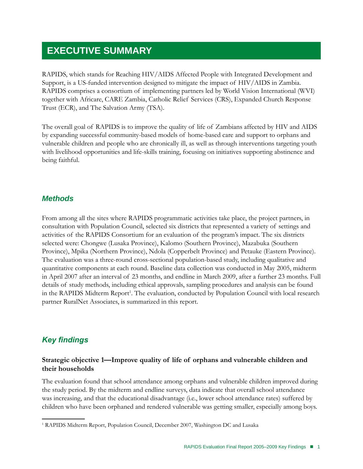# **EXECUTIVE SUMMARY**

RAPIDS, which stands for Reaching HIV/AIDS Affected People with Integrated Development and Support, is a US-funded intervention designed to mitigate the impact of HIV/AIDS in Zambia. RAPIDS comprises a consortium of implementing partners led by World Vision International (WVI) together with Africare, CARE Zambia, Catholic Relief Services (CRS), Expanded Church Response Trust (ECR), and The Salvation Army (TSA).

The overall goal of RAPIDS is to improve the quality of life of Zambians affected by HIV and AIDS by expanding successful community-based models of home-based care and support to orphans and vulnerable children and people who are chronically ill, as well as through interventions targeting youth with livelihood opportunities and life-skills training, focusing on initiatives supporting abstinence and being faithful.

# *Methods*

From among all the sites where RAPIDS programmatic activities take place, the project partners, in consultation with Population Council, selected six districts that represented a variety of settings and activities of the RAPIDS Consortium for an evaluation of the program's impact. The six districts selected were: Chongwe (Lusaka Province), Kalomo (Southern Province), Mazabuka (Southern Province), Mpika (Northern Province), Ndola (Copperbelt Province) and Petauke (Eastern Province). The evaluation was a three-round cross-sectional population-based study, including qualitative and quantitative components at each round. Baseline data collection was conducted in May 2005, midterm in April 2007 after an interval of 23 months, and endline in March 2009, after a further 23 months. Full details of study methods, including ethical approvals, sampling procedures and analysis can be found in the RAPIDS Midterm Report<sup>1</sup>. The evaluation, conducted by Population Council with local research partner RuralNet Associates, is summarized in this report.

# *Key findings*

# **Strategic objective 1—Improve quality of life of orphans and vulnerable children and their households**

The evaluation found that school attendance among orphans and vulnerable children improved during the study period. By the midterm and endline surveys, data indicate that overall school attendance was increasing, and that the educational disadvantage (i.e., lower school attendance rates) suffered by children who have been orphaned and rendered vulnerable was getting smaller, especially among boys.

<sup>&</sup>lt;sup>1</sup> RAPIDS Midterm Report, Population Council, December 2007, Washington DC and Lusaka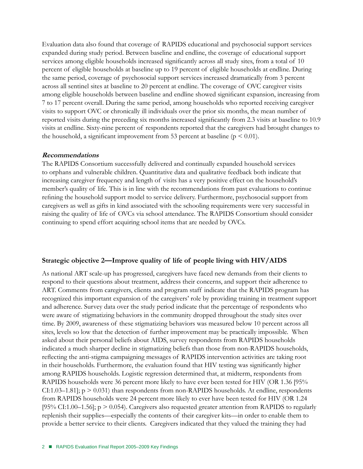Evaluation data also found that coverage of RAPIDS educational and psychosocial support services expanded during study period. Between baseline and endline, the coverage of educational support services among eligible households increased significantly across all study sites, from a total of 10 percent of eligible households at baseline up to 19 percent of eligible households at endline. During the same period, coverage of psychosocial support services increased dramatically from 3 percent across all sentinel sites at baseline to 20 percent at endline. The coverage of OVC caregiver visits among eligible households between baseline and endline showed significant expansion, increasing from 7 to 17 percent overall. During the same period, among households who reported receiving caregiver visits to support OVC or chronically ill individuals over the prior six months, the mean number of reported visits during the preceding six months increased significantly from 2.3 visits at baseline to 10.9 visits at endline. Sixty-nine percent of respondents reported that the caregivers had brought changes to the household, a significant improvement from 53 percent at baseline ( $p \le 0.01$ ).

# **Recommendations**

The RAPIDS Consortium successfully delivered and continually expanded household services to orphans and vulnerable children. Quantitative data and qualitative feedback both indicate that increasing caregiver frequency and length of visits has a very positive effect on the household's member's quality of life. This is in line with the recommendations from past evaluations to continue refining the household support model to service delivery. Furthermore, psychosocial support from caregivers as well as gifts in kind associated with the schooling requirements were very successful in raising the quality of life of OVCs via school attendance. The RAPIDS Consortium should consider continuing to spend effort acquiring school items that are needed by OVCs.

# **Strategic objective 2—Improve quality of life of people living with HIV/AIDS**

As national ART scale-up has progressed, caregivers have faced new demands from their clients to respond to their questions about treatment, address their concerns, and support their adherence to ART. Comments from caregivers, clients and program staff indicate that the RAPIDS program has recognized this important expansion of the caregivers' role by providing training in treatment support and adherence. Survey data over the study period indicate that the percentage of respondents who were aware of stigmatizing behaviors in the community dropped throughout the study sites over time. By 2009, awareness of these stigmatizing behaviors was measured below 10 percent across all sites, levels so low that the detection of further improvement may be practically impossible. When asked about their personal beliefs about AIDS, survey respondents from RAPIDS households indicated a much sharper decline in stigmatizing beliefs than those from non-RAPIDS households, reflecting the anti-stigma campaigning messages of RAPIDS intervention activities are taking root in their households. Furthermore, the evaluation found that HIV testing was significantly higher among RAPIDS households. Logistic regression determined that, at midterm, respondents from RAPIDS households were 36 percent more likely to have ever been tested for HIV (OR 1.36 [95% CI:1.03–1.81];  $p > 0.031$  than respondents from non-RAPIDS households. At endline, respondents from RAPIDS households were 24 percent more likely to ever have been tested for HIV (OR 1.24 [95% CI:1.00–1.56];  $p > 0.054$ ). Caregivers also requested greater attention from RAPIDS to regularly replenish their supplies—especially the contents of their caregiver kits—in order to enable them to provide a better service to their clients. Caregivers indicated that they valued the training they had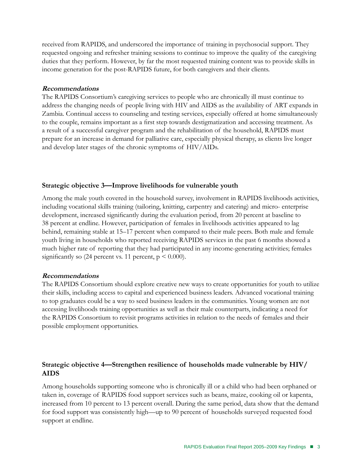received from RAPIDS, and underscored the importance of training in psychosocial support. They requested ongoing and refresher training sessions to continue to improve the quality of the caregiving duties that they perform. However, by far the most requested training content was to provide skills in income generation for the post-RAPIDS future, for both caregivers and their clients.

# **Recommendations**

The RAPIDS Consortium's caregiving services to people who are chronically ill must continue to address the changing needs of people living with HIV and AIDS as the availability of ART expands in Zambia. Continual access to counseling and testing services, especially offered at home simultaneously to the couple, remains important as a first step towards destigmatization and accessing treatment. As a result of a successful caregiver program and the rehabilitation of the household, RAPIDS must prepare for an increase in demand for palliative care, especially physical therapy, as clients live longer and develop later stages of the chronic symptoms of HIV/AIDs.

# **Strategic objective 3—Improve livelihoods for vulnerable youth**

Among the male youth covered in the household survey, involvement in RAPIDS livelihoods activities, including vocational skills training (tailoring, knitting, carpentry and catering) and micro- enterprise development, increased significantly during the evaluation period, from 20 percent at baseline to 38 percent at endline. However, participation of females in livelihoods activities appeared to lag behind, remaining stable at 15–17 percent when compared to their male peers. Both male and female youth living in households who reported receiving RAPIDS services in the past 6 months showed a much higher rate of reporting that they had participated in any income-generating activities; females significantly so (24 percent vs. 11 percent,  $p \le 0.000$ ).

# **Recommendations**

The RAPIDS Consortium should explore creative new ways to create opportunities for youth to utilize their skills, including access to capital and experienced business leaders. Advanced vocational training to top graduates could be a way to seed business leaders in the communities. Young women are not accessing livelihoods training opportunities as well as their male counterparts, indicating a need for the RAPIDS Consortium to revisit programs activities in relation to the needs of females and their possible employment opportunities.

# **Strategic objective 4—Strengthen resilience of households made vulnerable by HIV/ AIDS**

Among households supporting someone who is chronically ill or a child who had been orphaned or taken in, coverage of RAPIDS food support services such as beans, maize, cooking oil or kapenta, increased from 10 percent to 13 percent overall. During the same period, data show that the demand for food support was consistently high—up to 90 percent of households surveyed requested food support at endline.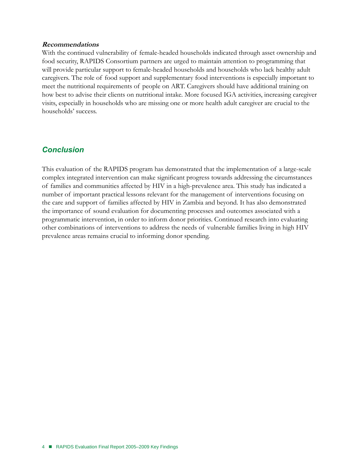#### **Recommendations**

With the continued vulnerability of female-headed households indicated through asset ownership and food security, RAPIDS Consortium partners are urged to maintain attention to programming that will provide particular support to female-headed households and households who lack healthy adult caregivers. The role of food support and supplementary food interventions is especially important to meet the nutritional requirements of people on ART. Caregivers should have additional training on how best to advise their clients on nutritional intake. More focused IGA activities, increasing caregiver visits, especially in households who are missing one or more health adult caregiver are crucial to the households' success.

# *Conclusion*

This evaluation of the RAPIDS program has demonstrated that the implementation of a large-scale complex integrated intervention can make significant progress towards addressing the circumstances of families and communities affected by HIV in a high-prevalence area. This study has indicated a number of important practical lessons relevant for the management of interventions focusing on the care and support of families affected by HIV in Zambia and beyond. It has also demonstrated the importance of sound evaluation for documenting processes and outcomes associated with a programmatic intervention, in order to inform donor priorities. Continued research into evaluating other combinations of interventions to address the needs of vulnerable families living in high HIV prevalence areas remains crucial to informing donor spending.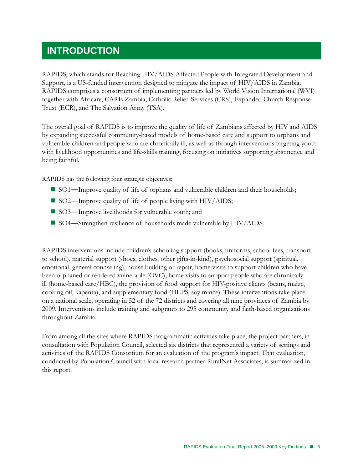# **Introduction**

RAPIDS, which stands for Reaching HIV/AIDS Affected People with Integrated Development and Support, is a US-funded intervention designed to mitigate the impact of HIV/AIDS in Zambia. RAPIDS comprises a consortium of implementing partners led by World Vision International (WVI) together with Africare, CARE Zambia, Catholic Relief Services (CRS), Expanded Church Response Trust (ECR), and The Salvation Army (TSA).

The overall goal of RAPIDS is to improve the quality of life of Zambians affected by HIV and AIDS by expanding successful community-based models of home-based care and support to orphans and vulnerable children and people who are chronically ill, as well as through interventions targeting youth with livelihood opportunities and life-skills training, focusing on initiatives supporting abstinence and being faithful.

RAPIDS has the following four strategic objectives:

- SO1—Improve quality of life of orphans and vulnerable children and their households;
- SO2—Improve quality of life of people living with HIV/AIDS;
- SO3—Improve livelihoods for vulnerable youth; and
- SO4**—**Strengthen resilience of households made vulnerable by HIV/AIDS.

RAPIDS interventions include children's schooling support (books, uniforms, school fees, transport to school), material support (shoes, clothes, other gifts-in-kind), psychosocial support (spiritual, emotional, general counseling), house building or repair, home visits to support children who have been orphaned or rendered vulnerable (OVC), home visits to support people who are chronically ill (home-based care/HBC), the provision of food support for HIV-positive clients (beans, maize, cooking oil, kapenta), and supplementary food (HEPS, soy mince). These interventions take place on a national scale, operating in 52 of the 72 districts and covering all nine provinces of Zambia by 2009. Interventions include training and subgrants to 295 community and faith-based organizations throughout Zambia.

From among all the sites where RAPIDS programmatic activities take place, the project partners, in consultation with Population Council, selected six districts that represented a variety of settings and activities of the RAPIDS Consortium for an evaluation of the program's impact. That evaluation, conducted by Population Council with local research partner RuralNet Associates, is summarized in this report.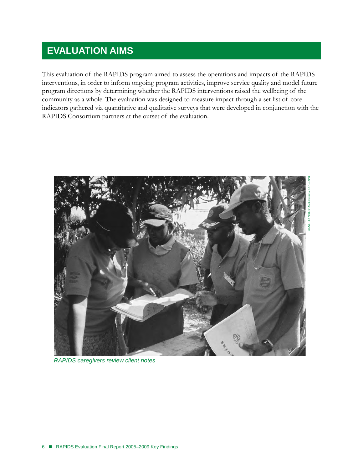# **EVALUATION AIMS**

This evaluation of the RAPIDS program aimed to assess the operations and impacts of the RAPIDS interventions, in order to inform ongoing program activities, improve service quality and model future program directions by determining whether the RAPIDS interventions raised the wellbeing of the community as a whole. The evaluation was designed to measure impact through a set list of core indicators gathered via quantitative and qualitative surveys that were developed in conjunction with the RAPIDS Consortium partners at the outset of the evaluation.



*RAPIDS caregivers review client notes*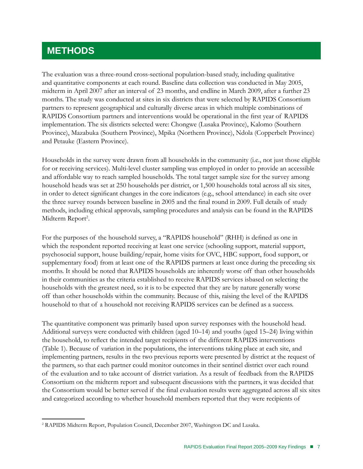# **METHODS**

The evaluation was a three-round cross-sectional population-based study, including qualitative and quantitative components at each round. Baseline data collection was conducted in May 2005, midterm in April 2007 after an interval of 23 months, and endline in March 2009, after a further 23 months. The study was conducted at sites in six districts that were selected by RAPIDS Consortium partners to represent geographical and culturally diverse areas in which multiple combinations of RAPIDS Consortium partners and interventions would be operational in the first year of RAPIDS implementation. The six districts selected were: Chongwe (Lusaka Province), Kalomo (Southern Province), Mazabuka (Southern Province), Mpika (Northern Province), Ndola (Copperbelt Province) and Petauke (Eastern Province).

Households in the survey were drawn from all households in the community (i.e., not just those eligible for or receiving services). Multi-level cluster sampling was employed in order to provide an accessible and affordable way to reach sampled households. The total target sample size for the survey among household heads was set at 250 households per district, or 1,500 households total across all six sites, in order to detect significant changes in the core indicators (e.g., school attendance) in each site over the three survey rounds between baseline in 2005 and the final round in 2009. Full details of study methods, including ethical approvals, sampling procedures and analysis can be found in the RAPIDS Midterm Report<sup>2</sup>.

For the purposes of the household survey, a "RAPIDS household" (RHH) is defined as one in which the respondent reported receiving at least one service (schooling support, material support, psychosocial support, house building/repair, home visits for OVC, HBC support, food support, or supplementary food) from at least one of the RAPIDS partners at least once during the preceding six months. It should be noted that RAPIDS households are inherently worse off than other households in their communities as the criteria established to receive RAPIDS services isbased on selecting the households with the greatest need, so it is to be expected that they are by nature generally worse off than other households within the community. Because of this, raising the level of the RAPIDS household to that of a household not receiving RAPIDS services can be defined as a success.

The quantitative component was primarily based upon survey responses with the household head. Additional surveys were conducted with children (aged 10–14) and youths (aged 15–24) living within the household, to reflect the intended target recipients of the different RAPIDS interventions (Table 1). Because of variation in the populations, the interventions taking place at each site, and implementing partners, results in the two previous reports were presented by district at the request of the partners, so that each partner could monitor outcomes in their sentinel district over each round of the evaluation and to take account of district variation. As a result of feedback from the RAPIDS Consortium on the midterm report and subsequent discussions with the partners, it was decided that the Consortium would be better served if the final evaluation results were aggregated across all six sites and categorized according to whether household members reported that they were recipients of

<sup>2</sup> RAPIDS Midterm Report, Population Council, December 2007, Washington DC and Lusaka.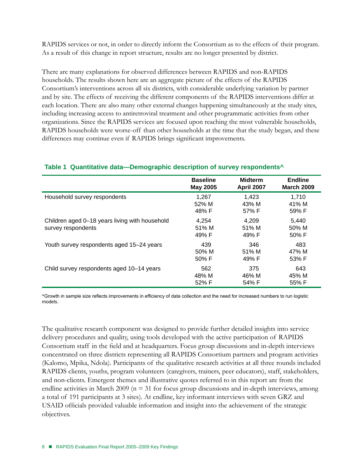RAPIDS services or not, in order to directly inform the Consortium as to the effects of their program. As a result of this change in report structure, results are no longer presented by district.

There are many explanations for observed differences between RAPIDS and non-RAPIDS households. The results shown here are an aggregate picture of the effects of the RAPIDS Consortium's interventions across all six districts, with considerable underlying variation by partner and by site. The effects of receiving the different components of the RAPIDS interventions differ at each location. There are also many other external changes happening simultaneously at the study sites, including increasing access to antiretroviral treatment and other programmatic activities from other organizations. Since the RAPIDS services are focused upon reaching the most vulnerable households, RAPIDS households were worse-off than other households at the time that the study began, and these differences may continue even if RAPIDS brings significant improvements.

#### **Baseline May 2005 Midterm April 2007 Endline March 2009** Household survey respondents 1,267 52% M 48% F 1,423 43% M 57% F 1,710 41% M 59% F Children aged 0–18 years living with household survey respondents 4,254 51% M 49% F 4,209 51% M 49% F 5,440 50% M 50% F Youth survey respondents aged 15–24 years 439 50% M 50% F 346 51% M 49% F 483 47% M 53% F Child survey respondents aged 10–14 years 562 48% M 52% F 375 46% M 54% F 643 45% M 55% F

# **Table 1 Quantitative data—Demographic description of survey respondents^**

^Growth in sample size reflects improvements in efficiency of data collection and the need for increased numbers to run logistic models.

The qualitative research component was designed to provide further detailed insights into service delivery procedures and quality, using tools developed with the active participation of RAPIDS Consortium staff in the field and at headquarters. Focus group discussions and in-depth interviews concentrated on three districts representing all RAPIDS Consortium partners and program activities (Kalomo, Mpika, Ndola). Participants of the qualitative research activities at all three rounds included RAPIDS clients, youths, program volunteers (caregivers, trainers, peer educators), staff, stakeholders, and non-clients. Emergent themes and illustrative quotes referred to in this report are from the endline activities in March 2009 ( $n = 31$  for focus group discussions and in-depth interviews, among a total of 191 participants at 3 sites). At endline, key informant interviews with seven GRZ and USAID officials provided valuable information and insight into the achievement of the strategic objectives.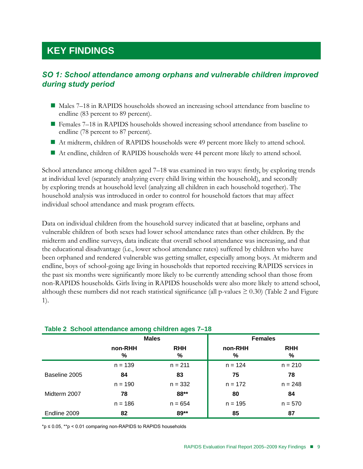# **KEY FINDINGS**

# *SO 1: School attendance among orphans and vulnerable children improved during study period*

- Males 7–18 in RAPIDS households showed an increasing school attendance from baseline to endline (83 percent to 89 percent).
- Females 7–18 in RAPIDS households showed increasing school attendance from baseline to endline (78 percent to 87 percent).
- At midterm, children of RAPIDS households were 49 percent more likely to attend school.
- At endline, children of RAPIDS households were 44 percent more likely to attend school.

School attendance among children aged 7–18 was examined in two ways: firstly, by exploring trends at individual level (separately analyzing every child living within the household), and secondly by exploring trends at household level (analyzing all children in each household together). The household analysis was introduced in order to control for household factors that may affect individual school attendance and mask program effects.

Data on individual children from the household survey indicated that at baseline, orphans and vulnerable children of both sexes had lower school attendance rates than other children. By the midterm and endline surveys, data indicate that overall school attendance was increasing, and that the educational disadvantage (i.e., lower school attendance rates) suffered by children who have been orphaned and rendered vulnerable was getting smaller, especially among boys. At midterm and endline, boys of school-going age living in households that reported receiving RAPIDS services in the past six months were significantly more likely to be currently attending school than those from non-RAPIDS households. Girls living in RAPIDS households were also more likely to attend school, although these numbers did not reach statistical significance (all p-values  $\geq 0.30$ ) (Table 2 and Figure 1).

|               | <b>Males</b> |                 | <b>Females</b> |                 |
|---------------|--------------|-----------------|----------------|-----------------|
|               | non-RHH<br>% | <b>RHH</b><br>% | non-RHH<br>%   | <b>RHH</b><br>% |
|               | $n = 139$    | $n = 211$       | $n = 124$      | $n = 210$       |
| Baseline 2005 | 84           | 83              | 75             | 78              |
|               | $n = 190$    | $n = 332$       | $n = 172$      | $n = 248$       |
| Midterm 2007  | 78           | 88**            | 80             | 84              |
|               | $n = 186$    | $n = 654$       | $n = 195$      | $n = 570$       |
| Endline 2009  | 82           | 89**            | 85             | 87              |

# **Table 2 School attendance among children ages 7–18**

\*p ≤ 0.05, \*\*p < 0.01 comparing non-RAPIDS to RAPIDS households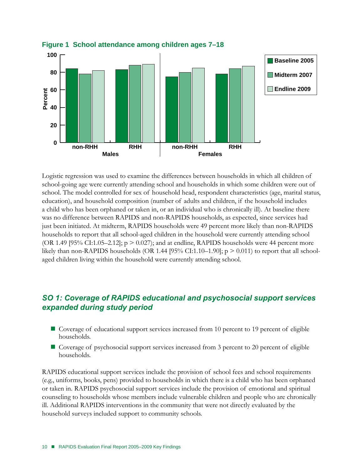

# **Figure 1 School attendance among children ages 7–18**

Logistic regression was used to examine the differences between households in which all children of school-going age were currently attending school and households in which some children were out of school. The model controlled for sex of household head, respondent characteristics (age, marital status, education), and household composition (number of adults and children, if the household includes a child who has been orphaned or taken in, or an individual who is chronically ill). At baseline there was no difference between RAPIDS and non-RAPIDS households, as expected, since services had just been initiated. At midterm, RAPIDS households were 49 percent more likely than non-RAPIDS households to report that all school-aged children in the household were currently attending school (OR 1.49 [95% CI:1.05–2.12];  $p > 0.027$ ); and at endline, RAPIDS households were 44 percent more likely than non-RAPIDS households (OR 1.44 [95% CI:1.10–1.90];  $p > 0.011$ ) to report that all schoolaged children living within the household were currently attending school.

# *SO 1: Coverage of RAPIDS educational and psychosocial support services expanded during study period*

- Coverage of educational support services increased from 10 percent to 19 percent of eligible households.
- Coverage of psychosocial support services increased from 3 percent to 20 percent of eligible households.

RAPIDS educational support services include the provision of school fees and school requirements (e.g., uniforms, books, pens) provided to households in which there is a child who has been orphaned or taken in. RAPIDS psychosocial support services include the provision of emotional and spiritual counseling to households whose members include vulnerable children and people who are chronically ill. Additional RAPIDS interventions in the community that were not directly evaluated by the household surveys included support to community schools.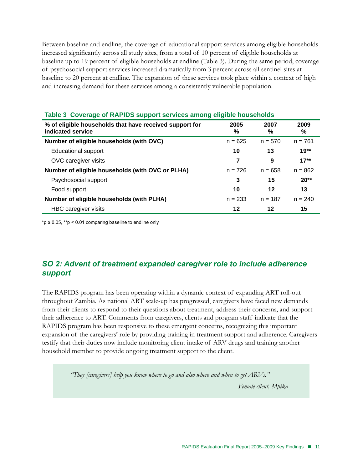Between baseline and endline, the coverage of educational support services among eligible households increased significantly across all study sites, from a total of 10 percent of eligible households at baseline up to 19 percent of eligible households at endline (Table 3). During the same period, coverage of psychosocial support services increased dramatically from 3 percent across all sentinel sites at baseline to 20 percent at endline. The expansion of these services took place within a context of high and increasing demand for these services among a consistently vulnerable population.

| % of eligible households that have received support for<br>indicated service | 2005<br>% | 2007<br>℅ | 2009<br>% |
|------------------------------------------------------------------------------|-----------|-----------|-----------|
| Number of eligible households (with OVC)                                     | $n = 625$ | $n = 570$ | $n = 761$ |
| <b>Educational support</b>                                                   | 10        | 13        | $19**$    |
| OVC caregiver visits                                                         | 7         | 9         | $17**$    |
| Number of eligible households (with OVC or PLHA)                             | $n = 726$ | $n = 658$ | $n = 862$ |
| Psychosocial support                                                         | 3         | 15        | $20**$    |
| Food support                                                                 | 10        | 12        | 13        |
| Number of eligible households (with PLHA)                                    | $n = 233$ | $n = 187$ | $n = 240$ |
| HBC caregiver visits                                                         | 12        | 12        | 15        |

# **Table 3 Coverage of RAPIDS support services among eligible households**

\*p ≤ 0.05, \*\*p < 0.01 comparing baseline to endline only

# *SO 2: Advent of treatment expanded caregiver role to include adherence support*

The RAPIDS program has been operating within a dynamic context of expanding ART roll-out throughout Zambia. As national ART scale-up has progressed, caregivers have faced new demands from their clients to respond to their questions about treatment, address their concerns, and support their adherence to ART. Comments from caregivers, clients and program staff indicate that the RAPIDS program has been responsive to these emergent concerns, recognizing this important expansion of the caregivers' role by providing training in treatment support and adherence. Caregivers testify that their duties now include monitoring client intake of ARV drugs and training another household member to provide ongoing treatment support to the client.

*"They [caregivers] help you know where to go and also where and when to get ARVs."* 

*Female client, Mpika*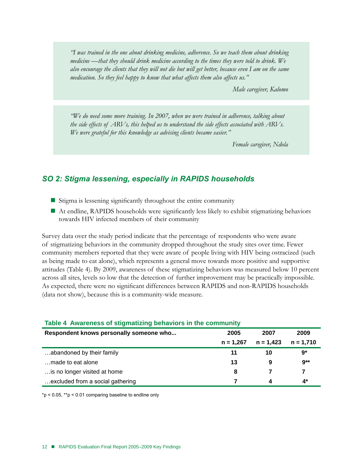*"I was trained in the one about drinking medicine, adherence. So we teach them about drinking medicine —that they should drink medicine according to the times they were told to drink. We also encourage the clients that they will not die but will get better, because even I am on the same medication. So they feel happy to know that what affects them also affects us."* 

*Male caregiver, Kalomo*

*"We do need some more training. In 2007, when we were trained in adherence, talking about the side effects of ARVs, this helped us to understand the side effects associated with ARVs. We were grateful for this knowledge as advising clients became easier."* 

*Female caregiver, Ndola*

# *SO 2: Stigma lessening, especially in RAPIDS households*

- Stigma is lessening significantly throughout the entire community
- At endline, RAPIDS households were significantly less likely to exhibit stigmatizing behaviors towards HIV infected members of their community

Survey data over the study period indicate that the percentage of respondents who were aware of stigmatizing behaviors in the community dropped throughout the study sites over time. Fewer community members reported that they were aware of people living with HIV being ostracized (such as being made to eat alone), which represents a general move towards more positive and supportive attitudes (Table 4). By 2009, awareness of these stigmatizing behaviors was measured below 10 percent across all sites, levels so low that the detection of further improvement may be practically impossible. As expected, there were no significant differences between RAPIDS and non-RAPIDS households (data not show), because this is a community-wide measure.

| Respondent knows personally someone who | 2005        | 2007        | 2009        |
|-----------------------------------------|-------------|-------------|-------------|
|                                         | $n = 1.267$ | $n = 1.423$ | $n = 1,710$ |
| abandoned by their family               | 11          | 10          | $9*$        |
| made to eat alone                       | 13          | 9           | $9**$       |
| is no longer visited at home            | 8           |             |             |
| excluded from a social gathering        |             |             | 4*          |

# **Table 4 Awareness of stigmatizing behaviors in the community**

 $*p < 0.05$ ,  $*p < 0.01$  comparing baseline to endline only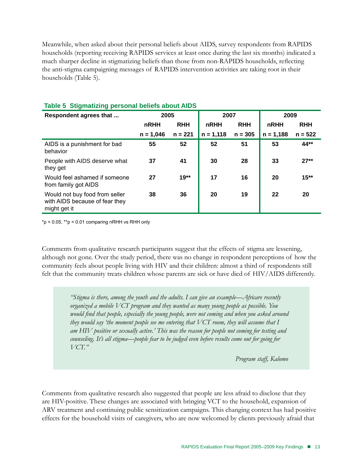Meanwhile, when asked about their personal beliefs about AIDS, survey respondents from RAPIDS households (reporting receiving RAPIDS services at least once during the last six months) indicated a much sharper decline in stigmatizing beliefs than those from non-RAPIDS households, reflecting the anti-stigma campaigning messages of RAPIDS intervention activities are taking root in their households (Table 5).

| Respondent agrees that                                                           | 2005        |            | 2007        |            | 2009        |            |
|----------------------------------------------------------------------------------|-------------|------------|-------------|------------|-------------|------------|
|                                                                                  | <b>nRHH</b> | <b>RHH</b> | nRHH        | <b>RHH</b> | nRHH        | <b>RHH</b> |
|                                                                                  | $n = 1,046$ | $n = 221$  | $n = 1,118$ | $n = 305$  | $n = 1,188$ | $n = 522$  |
| AIDS is a punishment for bad<br>behavior                                         | 55          | 52         | 52          | 51         | 53          | 44**       |
| People with AIDS deserve what<br>they get                                        | 37          | 41         | 30          | 28         | 33          | $27**$     |
| Would feel ashamed if someone<br>from family got AIDS                            | 27          | $19**$     | 17          | 16         | 20          | $15**$     |
| Would not buy food from seller<br>with AIDS because of fear they<br>might get it | 38          | 36         | 20          | 19         | 22          | 20         |

# **Table 5 Stigmatizing personal beliefs about AIDS**

 $*p < 0.05$ ,  $**p < 0.01$  comparing nRHH vs RHH only

Comments from qualitative research participants suggest that the effects of stigma are lessening, although not gone. Over the study period, there was no change in respondent perceptions of how the community feels about people living with HIV and their children: almost a third of respondents still felt that the community treats children whose parents are sick or have died of HIV/AIDS differently.

> *"Stigma is there, among the youth and the adults. I can give an example—Africare recently organized a mobile VCT program and they wanted as many young people as possible. You would find that people, especially the young people, were not coming and when you asked around they would say 'the moment people see me entering that VCT room, they will assume that I am HIV positive or sexually active.' This was the reason for people not coming for testing and counseling. It's all stigma—people fear to be judged even before results come out for going for VCT."*

> > *Program staff, Kalomo*

Comments from qualitative research also suggested that people are less afraid to disclose that they are HIV-positive. These changes are associated with bringing VCT to the household, expansion of ARV treatment and continuing public sensitization campaigns. This changing context has had positive effects for the household visits of caregivers, who are now welcomed by clients previously afraid that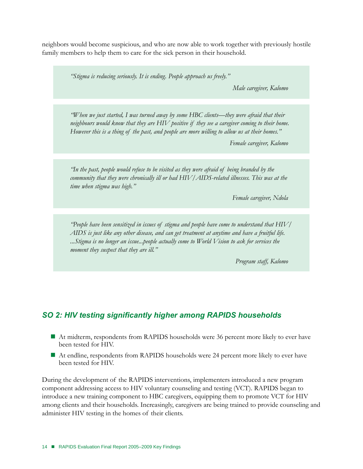neighbors would become suspicious, and who are now able to work together with previously hostile family members to help them to care for the sick person in their household.

*"Stigma is reducing seriously. It is ending. People approach us freely."* 

*Male caregiver, Kalomo* 

*"When we just started, I was turned away by some HBC clients—they were afraid that their neighbours would know that they are HIV positive if they see a caregiver coming to their home. However this is a thing of the past, and people are more willing to allow us at their homes."* 

*Female caregiver, Kalomo*

*"In the past, people would refuse to be visited as they were afraid of being branded by the community that they were chronically ill or had HIV/AIDS-related illnesses. This was at the time when stigma was high."* 

*Female caregiver, Ndola*

*"People have been sensitized in issues of stigma and people have come to understand that HIV/ AIDS is just like any other disease, and can get treatment at anytime and have a fruitful life. ...Stigma is no longer an issue...people actually come to World Vision to ask for services the moment they suspect that they are ill."* 

*Program staff, Kalomo*

# *SO 2: HIV testing significantly higher among RAPIDS households*

- At midterm, respondents from RAPIDS households were 36 percent more likely to ever have been tested for HIV.
- At endline, respondents from RAPIDS households were 24 percent more likely to ever have been tested for HIV.

During the development of the RAPIDS interventions, implementers introduced a new program component addressing access to HIV voluntary counseling and testing (VCT). RAPIDS began to introduce a new training component to HBC caregivers, equipping them to promote VCT for HIV among clients and their households. Increasingly, caregivers are being trained to provide counseling and administer HIV testing in the homes of their clients.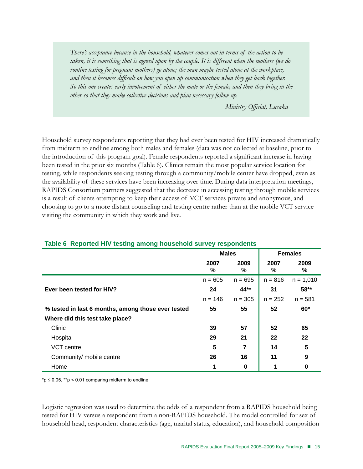*There's acceptance because in the household, whatever comes out in terms of the action to be taken, it is something that is agreed upon by the couple. It is different when the mothers (we do routine testing for pregnant mothers) go alone; the man maybe tested alone at the workplace, and then it becomes difficult on how you open up communication when they get back together. So this one creates early involvement of either the male or the female, and then they bring in the other so that they make collective decisions and plan necessary follow-up.*

*Ministry Official, Lusaka*

Household survey respondents reporting that they had ever been tested for HIV increased dramatically from midterm to endline among both males and females (data was not collected at baseline, prior to the introduction of this program goal). Female respondents reported a significant increase in having been tested in the prior six months (Table 6). Clinics remain the most popular service location for testing, while respondents seeking testing through a community/mobile center have dropped, even as the availability of these services have been increasing over time. During data interpretation meetings, RAPIDS Consortium partners suggested that the decrease in accessing testing through mobile services is a result of clients attempting to keep their access of VCT services private and anonymous, and choosing to go to a more distant counseling and testing centre rather than at the mobile VCT service visiting the community in which they work and live.

|                                                    | <b>Males</b> |           |           | <b>Females</b> |
|----------------------------------------------------|--------------|-----------|-----------|----------------|
|                                                    | 2007<br>%    | 2009<br>% | 2007<br>% | 2009<br>%      |
|                                                    | $n = 605$    | $n = 695$ | $n = 816$ | $n = 1,010$    |
| Ever been tested for HIV?                          | 24           | 44**      | 31        | 58**           |
|                                                    | $n = 146$    | $n = 305$ | $n = 252$ | $n = 581$      |
| % tested in last 6 months, among those ever tested | 55           | 55        | 52        | $60*$          |
| Where did this test take place?                    |              |           |           |                |
| Clinic                                             | 39           | 57        | 52        | 65             |
| Hospital                                           | 29           | 21        | 22        | 22             |
| VCT centre                                         | 5            | 7         | 14        | 5              |
| Community/ mobile centre                           | 26           | 16        | 11        | 9              |
| Home                                               | 1            | 0         |           | 0              |

#### **Table 6 Reported HIV testing among household survey respondents**

\*p  $\leq$  0.05, \*\*p  $\leq$  0.01 comparing midterm to endline

Logistic regression was used to determine the odds of a respondent from a RAPIDS household being tested for HIV versus a respondent from a non-RAPIDS household. The model controlled for sex of household head, respondent characteristics (age, marital status, education), and household composition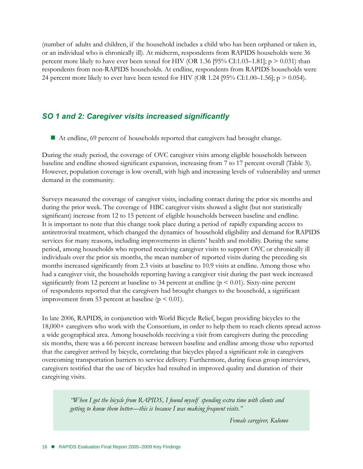(number of adults and children, if the household includes a child who has been orphaned or taken in, or an individual who is chronically ill). At midterm, respondents from RAPIDS households were 36 percent more likely to have ever been tested for HIV (OR 1.36 [95% CI:1.03–1.81];  $p > 0.031$ ) than respondents from non-RAPIDS households. At endline, respondents from RAPIDS households were 24 percent more likely to ever have been tested for HIV (OR 1.24 [95% CI:1.00–1.56];  $p > 0.054$ ).

# *SO 1 and 2: Caregiver visits increased significantly*

At endline, 69 percent of households reported that caregivers had brought change.

During the study period, the coverage of OVC caregiver visits among eligible households between baseline and endline showed significant expansion, increasing from 7 to 17 percent overall (Table 3). However, population coverage is low overall, with high and increasing levels of vulnerability and unmet demand in the community.

Surveys measured the coverage of caregiver visits, including contact during the prior six months and during the prior week. The coverage of HBC caregiver visits showed a slight (but not statistically significant) increase from 12 to 15 percent of eligible households between baseline and endline. It is important to note that this change took place during a period of rapidly expanding access to antiretroviral treatment, which changed the dynamics of household eligibility and demand for RAPIDS services for many reasons, including improvements in clients' health and mobility. During the same period, among households who reported receiving caregiver visits to support OVC or chronically ill individuals over the prior six months, the mean number of reported visits during the preceding six months increased significantly from 2.3 visits at baseline to 10.9 visits at endline. Among those who had a caregiver visit, the households reporting having a caregiver visit during the past week increased significantly from 12 percent at baseline to 34 percent at endline ( $p \le 0.01$ ). Sixty-nine percent of respondents reported that the caregivers had brought changes to the household, a significant improvement from 53 percent at baseline ( $p < 0.01$ ).

In late 2006, RAPIDS, in conjunction with World Bicycle Relief, began providing bicycles to the 18,000+ caregivers who work with the Consortium, in order to help them to reach clients spread across a wide geographical area. Among households receiving a visit from caregivers during the preceding six months, there was a 66 percent increase between baseline and endline among those who reported that the caregiver arrived by bicycle, correlating that bicycles played a significant role in caregivers overcoming transportation barriers to service delivery. Furthermore, during focus group interviews, caregivers testified that the use of bicycles had resulted in improved quality and duration of their caregiving visits.

*"When I got the bicycle from RAPIDS, I found myself spending extra time with clients and getting to know them better—this is because I was making frequent visits."* 

*Female caregiver, Kalomo*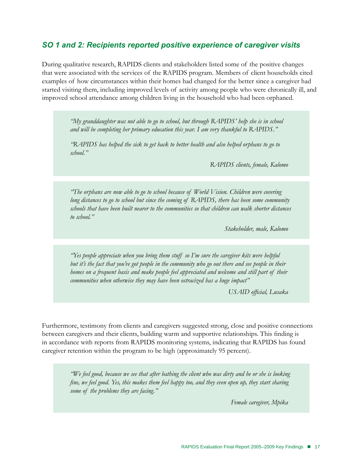# *SO 1 and 2: Recipients reported positive experience of caregiver visits*

During qualitative research, RAPIDS clients and stakeholders listed some of the positive changes that were associated with the services of the RAPIDS program. Members of client households cited examples of how circumstances within their homes had changed for the better since a caregiver had started visiting them, including improved levels of activity among people who were chronically ill, and improved school attendance among children living in the household who had been orphaned.

> *"My granddaughter was not able to go to school, but through RAPIDS' help she is in school and will be completing her primary education this year. I am very thankful to RAPIDS."*

*"RAPIDS has helped the sick to get back to better health and also helped orphans to go to school."*

*RAPIDS clients, female, Kalomo*

*"The orphans are now able to go to school because of World Vision. Children were covering long distances to go to school but since the coming of RAPIDS, there has been some community schools that have been built nearer to the communities so that children can walk shorter distances to school."* 

*Stakeholder, male, Kalomo*

*"Yes people appreciate when you bring them stuff so I'm sure the caregiver kits were helpful but it's the fact that you've got people in the community who go out there and see people in their homes on a frequent basis and make people feel appreciated and welcome and still part of their communities when otherwise they may have been ostracized has a huge impact"*

*USAID official, Lusaka*

Furthermore, testimony from clients and caregivers suggested strong, close and positive connections between caregivers and their clients, building warm and supportive relationships. This finding is in accordance with reports from RAPIDS monitoring systems, indicating that RAPIDS has found caregiver retention within the program to be high (approximately 95 percent).

> *"We feel good, because we see that after bathing the client who was dirty and he or she is looking fine, we feel good. Yes, this makes them feel happy too, and they even open up, they start sharing some of the problems they are facing."*

> > *Female caregiver, Mpika*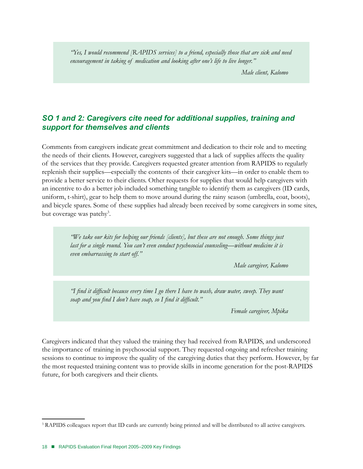*"Yes, I would recommend [RAPIDS services] to a friend, especially those that are sick and need encouragement in taking of medication and looking after one's life to live longer."* 

*Male client, Kalomo*

# *SO 1 and 2: Caregivers cite need for additional supplies, training and support for themselves and clients*

Comments from caregivers indicate great commitment and dedication to their role and to meeting the needs of their clients. However, caregivers suggested that a lack of supplies affects the quality of the services that they provide. Caregivers requested greater attention from RAPIDS to regularly replenish their supplies—especially the contents of their caregiver kits—in order to enable them to provide a better service to their clients. Other requests for supplies that would help caregivers with an incentive to do a better job included something tangible to identify them as caregivers (ID cards, uniform, t-shirt), gear to help them to move around during the rainy season (umbrella, coat, boots), and bicycle spares. Some of these supplies had already been received by some caregivers in some sites, but coverage was patchy<sup>3</sup>.

> *"We take our kits for helping our friends [clients], but these are not enough. Some things just last for a single round. You can't even conduct psychosocial counseling—without medicine it is even embarrassing to start off."*

> > *Male caregiver, Kalomo*

*"I find it difficult because every time I go there I have to wash, draw water, sweep. They want soap and you find I don't have soap, so I find it difficult."* 

*Female caregiver, Mpika*

Caregivers indicated that they valued the training they had received from RAPIDS, and underscored the importance of training in psychosocial support. They requested ongoing and refresher training sessions to continue to improve the quality of the caregiving duties that they perform. However, by far the most requested training content was to provide skills in income generation for the post-RAPIDS future, for both caregivers and their clients.

<sup>&</sup>lt;sup>3</sup> RAPIDS colleagues report that ID cards are currently being printed and will be distributed to all active caregivers.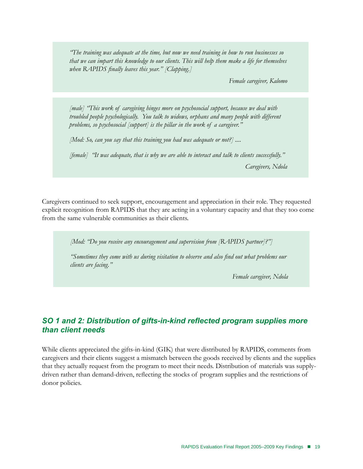*"The training was adequate at the time, but now we need training in how to run businesses so that we can impart this knowledge to our clients. This will help them make a life for themselves when RAPIDS finally leaves this year." [Clapping.]* 

*Female caregiver, Kalomo* 

*[male] "This work of caregiving hinges more on psychosocial support, because we deal with troubled people psychologically. You talk to widows, orphans and many people with different problems, so psychosocial [support] is the pillar in the work of a caregiver."* 

*[Mod: So, can you say that this training you had was adequate or not?] ....* 

*[female] "It was adequate, that is why we are able to interact and talk to clients successfully."* 

*Caregivers, Ndola*

Caregivers continued to seek support, encouragement and appreciation in their role. They requested explicit recognition from RAPIDS that they are acting in a voluntary capacity and that they too come from the same vulnerable communities as their clients.

*[Mod: "Do you receive any encouragement and supervision from [RAPIDS partner]?"]*

*"Sometimes they come with us during visitation to observe and also find out what problems our clients are facing."*

*Female caregiver, Ndola*

# *SO 1 and 2: Distribution of gifts-in-kind reflected program supplies more than client needs*

While clients appreciated the gifts-in-kind (GIK) that were distributed by RAPIDS, comments from caregivers and their clients suggest a mismatch between the goods received by clients and the supplies that they actually request from the program to meet their needs. Distribution of materials was supplydriven rather than demand-driven, reflecting the stocks of program supplies and the restrictions of donor policies.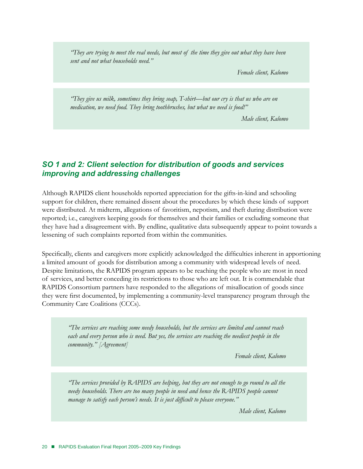*"They are trying to meet the real needs, but most of the time they give out what they have been sent and not what households need."* 

*Female client, Kalomo*

*"They give us milk, sometimes they bring soap, T-shirt—but our cry is that us who are on medication, we need food. They bring toothbrushes, but what we need is food!"* 

*Male client, Kalomo*

# *SO 1 and 2: Client selection for distribution of goods and services improving and addressing challenges*

Although RAPIDS client households reported appreciation for the gifts-in-kind and schooling support for children, there remained dissent about the procedures by which these kinds of support were distributed. At midterm, allegations of favoritism, nepotism, and theft during distribution were reported; i.e., caregivers keeping goods for themselves and their families or excluding someone that they have had a disagreement with. By endline, qualitative data subsequently appear to point towards a lessening of such complaints reported from within the communities.

Specifically, clients and caregivers more explicitly acknowledged the difficulties inherent in apportioning a limited amount of goods for distribution among a community with widespread levels of need. Despite limitations, the RAPIDS program appears to be reaching the people who are most in need of services, and better conceding its restrictions to those who are left out. It is commendable that RAPIDS Consortium partners have responded to the allegations of misallocation of goods since they were first documented, by implementing a community-level transparency program through the Community Care Coalitions (CCCs).

*"The services are reaching some needy households, but the services are limited and cannot reach each and every person who is need. But yes, the services are reaching the neediest people in the community." [Agreement]* 

*Female client, Kalomo* 

*"The services provided by RAPIDS are helping, but they are not enough to go round to all the needy households. There are too many people in need and hence the RAPIDS people cannot manage to satisfy each person's needs. It is just difficult to please everyone."* 

*Male client, Kalomo*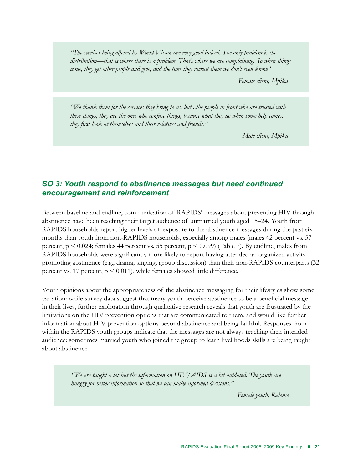*"The services being offered by World Vision are very good indeed. The only problem is the distribution—that is where there is a problem. That's where we are complaining. So when things come, they get other people and give, and the time they recruit them we don't even know."* 

*Female client, Mpika*

*"We thank them for the services they bring to us, but...the people in front who are trusted with these things, they are the ones who confuse things, because what they do when some help comes, they first look at themselves and their relatives and friends."* 

*Male client, Mpika*

# *SO 3: Youth respond to abstinence messages but need continued encouragement and reinforcement*

Between baseline and endline, communication of RAPIDS' messages about preventing HIV through abstinence have been reaching their target audience of unmarried youth aged 15–24. Youth from RAPIDS households report higher levels of exposure to the abstinence messages during the past six months than youth from non-RAPIDS households, especially among males (males 42 percent vs. 57 percent,  $p \le 0.024$ ; females 44 percent vs. 55 percent,  $p \le 0.099$ ) (Table 7). By endline, males from RAPIDS households were significantly more likely to report having attended an organized activity promoting abstinence (e.g., drama, singing, group discussion) than their non-RAPIDS counterparts (32 percent vs. 17 percent,  $p \le 0.011$ ), while females showed little difference.

Youth opinions about the appropriateness of the abstinence messaging for their lifestyles show some variation: while survey data suggest that many youth perceive abstinence to be a beneficial message in their lives, further exploration through qualitative research reveals that youth are frustrated by the limitations on the HIV prevention options that are communicated to them, and would like further information about HIV prevention options beyond abstinence and being faithful. Responses from within the RAPIDS youth groups indicate that the messages are not always reaching their intended audience: sometimes married youth who joined the group to learn livelihoods skills are being taught about abstinence.

> *"We are taught a lot but the information on HIV/AIDS is a bit outdated. The youth are hungry for better information so that we can make informed decisions."*

> > *Female youth, Kalomo*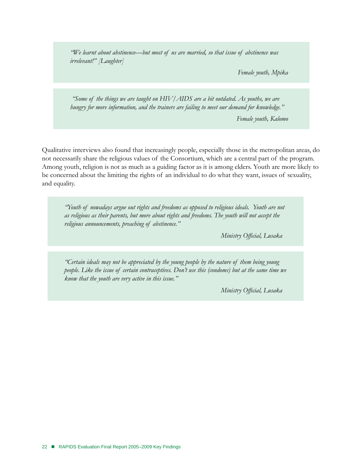*"We learnt about abstinence—but most of us are married, so that issue of abstinence was irrelevant!" [Laughter]* 

*Female youth, Mpika*

 *"Some of the things we are taught on HIV/AIDS are a bit outdated. As youths, we are hungry for more information, and the trainers are failing to meet our demand for knowledge."*

*Female youth, Kalomo*

Qualitative interviews also found that increasingly people, especially those in the metropolitan areas, do not necessarily share the religious values of the Consortium, which are a central part of the program. Among youth, religion is not as much as a guiding factor as it is among elders. Youth are more likely to be concerned about the limiting the rights of an individual to do what they want, issues of sexuality, and equality.

*"Youth of nowadays argue out rights and freedoms as opposed to religious ideals. Youth are not as religious as their parents, but more about rights and freedoms. The youth will not accept the religious announcements, preaching of abstinence."* 

*Ministry Official, Lusaka* 

*"Certain ideals may not be appreciated by the young people by the nature of them being young people. Like the issue of certain contraceptives. Don't use this (condoms) but at the same time we know that the youth are very active in this issue."* 

*Ministry Official, Lusaka*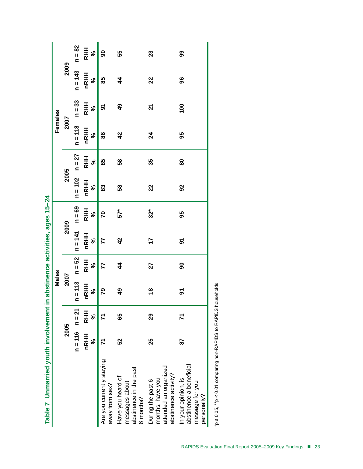|                                                                                        |                    |                  | Males              |                    |                   |                       |                    |                  | Females            |                  |                   |             |
|----------------------------------------------------------------------------------------|--------------------|------------------|--------------------|--------------------|-------------------|-----------------------|--------------------|------------------|--------------------|------------------|-------------------|-------------|
|                                                                                        | 2005               |                  | 2007               |                    |                   | 2009                  | 2005               |                  | 2007               |                  | 2009              |             |
|                                                                                        | $n = 116$ $n = 21$ |                  | $n = 113$ $n = 52$ |                    | $n = 141$         | $n = 69$              | $n = 102$ $n = 27$ |                  | $n = 118$ $n = 33$ |                  | $n = 143$         | $n = 82$    |
|                                                                                        | <b>NRHH</b><br>ಸಿ  | <b>RHH</b><br>ಸಿ | <b>nRHH</b><br>న్  | <b>RHH</b><br>ಸ್ಥೆ | <b>nRHH</b><br>ೢೕ | <b>RHH</b><br>$\zeta$ | <b>nRHH</b><br>ಸ್  | <b>RHH</b><br>ೢೕ | <b>nRHH</b><br>ಸಿ  | <b>RHH</b><br>ಸಿ | <b>NRHH</b><br>ೢೕ | $rac{1}{2}$ |
| Are you currently staying<br>away from sex?                                            |                    |                  | 79                 | 77                 | 77                | 20                    | 83                 | 85               | 86                 | 5                | 85                | 90          |
| abstinence in the past<br>Have you heard of<br>messages about<br>6 months?             | 52                 | 65               | 9                  | $\frac{4}{3}$      | $\frac{2}{3}$     | $57*$                 | 58                 | 58               | $\frac{2}{3}$      | $\frac{6}{4}$    | $\frac{4}{3}$     | 55          |
| attended an organized<br>abstinence activity?<br>months, have you<br>During the past 6 | 25                 | 29               | $\frac{8}{1}$      | 27                 | 17                | $32*$                 | 22                 | 35               | $\overline{24}$    | ম                | 22                | 23          |
| abstinence a beneficial<br>In your opinion, is<br>message for you<br>personally?       | 28                 |                  | <u>გ</u>           | 8                  | ৯                 | 95                    | $\overline{9}$     | 80               | 95                 | $\overline{00}$  | 96                | 99          |

Table 7 Unmarried youth involvement in abstinence activities, ages 15-24 **Table 7 Unmarried youth involvement in abstinence activities, ages 15–24**

\*p ≤ 0.05, \*\*p < 0.01 comparing non-RAPIDS to RAPIDS households \*p ≤ 0.05, \*\*p < 0.01 comparing non-RAPIDS to RAPIDS households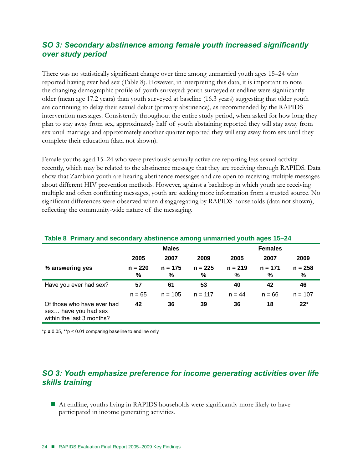# *SO 3: Secondary abstinence among female youth increased significantly over study period*

There was no statistically significant change over time among unmarried youth ages 15–24 who reported having ever had sex (Table 8). However, in interpreting this data, it is important to note the changing demographic profile of youth surveyed: youth surveyed at endline were significantly older (mean age 17.2 years) than youth surveyed at baseline (16.3 years) suggesting that older youth are continuing to delay their sexual debut (primary abstinence), as recommended by the RAPIDS intervention messages. Consistently throughout the entire study period, when asked for how long they plan to stay away from sex, approximately half of youth abstaining reported they will stay away from sex until marriage and approximately another quarter reported they will stay away from sex until they complete their education (data not shown).

Female youths aged 15–24 who were previously sexually active are reporting less sexual activity recently, which may be related to the abstinence message that they are receiving through RAPIDS. Data show that Zambian youth are hearing abstinence messages and are open to receiving multiple messages about different HIV prevention methods. However, against a backdrop in which youth are receiving multiple and often conflicting messages, youth are seeking more information from a trusted source. No significant differences were observed when disaggregating by RAPIDS households (data not shown), reflecting the community-wide nature of the messaging.

|                                                                                 |                | <u>Fable of Filmary and Secondary abstribute among unificitied younitages to Z+</u> |                |                |                |                |  |  |  |
|---------------------------------------------------------------------------------|----------------|-------------------------------------------------------------------------------------|----------------|----------------|----------------|----------------|--|--|--|
|                                                                                 |                | <b>Males</b>                                                                        |                |                | <b>Females</b> |                |  |  |  |
|                                                                                 | 2005           | 2007                                                                                | 2009           | 2005           | 2007           | 2009           |  |  |  |
| % answering yes                                                                 | $n = 220$<br>℅ | $n = 175$<br>%                                                                      | $n = 225$<br>℅ | $n = 219$<br>℅ | $n = 171$<br>% | $n = 258$<br>% |  |  |  |
| Have you ever had sex?                                                          | 57             | 61                                                                                  | 53             | 40             | 42             | 46             |  |  |  |
|                                                                                 | $n = 65$       | $n = 105$                                                                           | $n = 117$      | $n = 44$       | $n = 66$       | $n = 107$      |  |  |  |
| Of those who have ever had<br>sex have you had sex<br>within the last 3 months? | 42             | 36                                                                                  | 39             | 36             | 18             | $22*$          |  |  |  |

# **Table 8 Primary and secondary abstinence among unmarried youth ages 15–24**

\*p  $\leq$  0.05, \*\*p  $\leq$  0.01 comparing baseline to endline only

# *SO 3: Youth emphasize preference for income generating activities over life skills training*

 At endline, youths living in RAPIDS households were significantly more likely to have participated in income generating activities.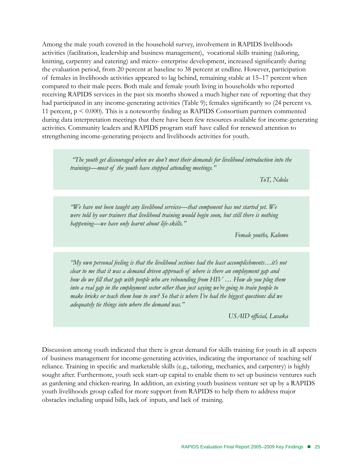Among the male youth covered in the household survey, involvement in RAPIDS livelihoods activities (facilitation, leadership and business management), vocational skills training (tailoring, knitting, carpentry and catering) and micro- enterprise development, increased significantly during the evaluation period, from 20 percent at baseline to 38 percent at endline. However, participation of females in livelihoods activities appeared to lag behind, remaining stable at 15–17 percent when compared to their male peers. Both male and female youth living in households who reported receiving RAPIDS services in the past six months showed a much higher rate of reporting that they had participated in any income-generating activities (Table 9); females significantly so (24 percent vs. 11 percent, p < 0.000). This is a noteworthy finding as RAPIDS Consortium partners commented during data interpretation meetings that there have been few resources available for income-generating activities. Community leaders and RAPIDS program staff have called for renewed attention to strengthening income-generating projects and livelihoods activities for youth.

> *"The youth get discouraged when we don't meet their demands for livelihood introduction into the trainings—most of the youth have stopped attending meetings."*

> > *ToT, Ndola*

*"We have not been taught any livelihood services—that component has not started yet. We were told by our trainers that livelihood training would begin soon, but still there is nothing happening—we have only learnt about life-skills."* 

*Female youths, Kalomo*

*"My own personal feeling is that the livelihood sections had the least accomplishments…it's not clear to me that it was a demand driven approach of where is there an employment gap and how do we fill that gap with people who are rebounding from HIV … How do you plug them into a real gap in the employment sector other than just saying we're going to train people to make bricks or teach them how to sew? So that is where I've had the biggest questions did we adequately tie things into where the demand was."*

*USAID official, Lusaka*

Discussion among youth indicated that there is great demand for skills training for youth in all aspects of business management for income-generating activities, indicating the importance of teaching self reliance. Training in specific and marketable skills (e.g., tailoring, mechanics, and carpentry) is highly sought after. Furthermore, youth seek start-up capital to enable them to set up business ventures such as gardening and chicken-rearing. In addition, an existing youth business venture set up by a RAPIDS youth livelihoods group called for more support from RAPIDS to help them to address major obstacles including unpaid bills, lack of inputs, and lack of training.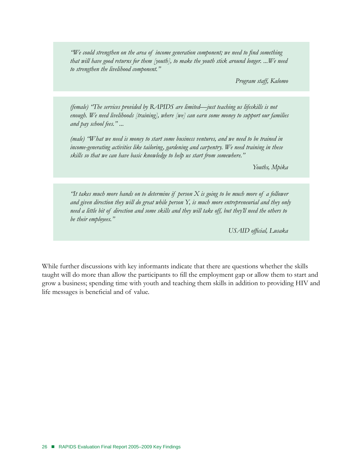*"We could strengthen on the area of income generation component; we need to find something that will have good returns for them [youth], to make the youth stick around longer. ...We need to strengthen the livelihood component."* 

*Program staff, Kalomo*

*(female) "The services provided by RAPIDS are limited—just teaching us lifeskills is not enough. We need livelihoods [training], where [we] can earn some money to support our families and pay school fees." ...* 

*(male) "What we need is money to start some business ventures, and we need to be trained in income-generating activities like tailoring, gardening and carpentry. We need training in these skills so that we can have basic knowledge to help us start from somewhere."* 

*Youths, Mpika*

*"It takes much more hands on to determine if person X is going to be much more of a follower and given direction they will do great while person Y, is much more entrepreneurial and they only need a little bit of direction and some skills and they will take off, but they'll need the others to be their employees."*

*USAID official, Lusaka*

While further discussions with key informants indicate that there are questions whether the skills taught will do more than allow the participants to fill the employment gap or allow them to start and grow a business; spending time with youth and teaching them skills in addition to providing HIV and life messages is beneficial and of value.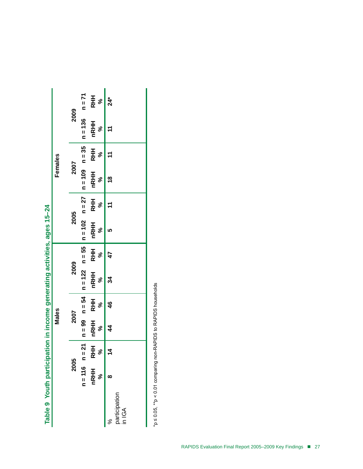|         |      |                                                                                   | <b>RHH</b><br>$\%$    | $24*$                        |
|---------|------|-----------------------------------------------------------------------------------|-----------------------|------------------------------|
|         | 2009 | $n = 136$ $n = 71$                                                                | <b>nRHH</b><br>ಸಿ     | H                            |
| Females |      |                                                                                   | ళీ                    | $\ddot{t}$                   |
|         | 2007 |                                                                                   | nRHH<br>RHH<br>ೢೕ     | $\frac{8}{18}$               |
|         |      |                                                                                   | ಸಿ                    | $\pm$                        |
|         | 2005 |                                                                                   | <b>NRHH RHH</b><br>ళి | 5                            |
|         |      |                                                                                   | ಸ್ಥ                   | 47                           |
|         | 2009 | n = 116 n = 21   n = 99 n = 54   n = 122 n = 55   n = 102 n = 27   n = 109 n = 35 | nRHH RHH<br>ೢೕ        | 34                           |
| Males   |      |                                                                                   | ҂                     | $\frac{6}{4}$                |
|         | 2007 |                                                                                   | INRHH RHH<br>ಸಿ       | 4                            |
|         |      |                                                                                   | న్                    | 4                            |
|         | 2005 |                                                                                   | nRHH RI<br>ಸಿ         | œ                            |
|         |      |                                                                                   |                       | participation<br>in IGA<br>℅ |

**Table 9 Youth participation in income generating activities, ages 15–24**  Table 9 Youth participation in income generating activities, ages 15-24

\*p ≤ 0.05, \*\*p < 0.01 comparing non-RAPIDS to RAPIDS households \*p ≤ 0.05, \*\*p < 0.01 comparing non-RAPIDS to RAPIDS households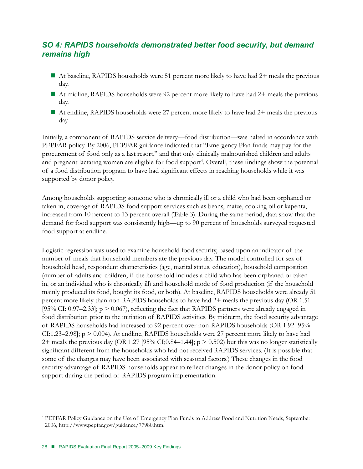# *SO 4: RAPIDS households demonstrated better food security, but demand remains high*

- At baseline, RAPIDS households were 51 percent more likely to have had  $2+$  meals the previous day.
- At midline, RAPIDS households were 92 percent more likely to have had  $2+$  meals the previous day.
- At endline, RAPIDS households were 27 percent more likely to have had  $2+$  meals the previous day.

Initially, a component of RAPIDS service delivery—food distribution—was halted in accordance with PEPFAR policy. By 2006, PEPFAR guidance indicated that "Emergency Plan funds may pay for the procurement of food only as a last resort," and that only clinically malnourished children and adults and pregnant lactating women are eligible for food support<sup>4</sup>. Overall, these findings show the potential of a food distribution program to have had significant effects in reaching households while it was supported by donor policy.

Among households supporting someone who is chronically ill or a child who had been orphaned or taken in, coverage of RAPIDS food support services such as beans, maize, cooking oil or kapenta, increased from 10 percent to 13 percent overall (Table 3). During the same period, data show that the demand for food support was consistently high—up to 90 percent of households surveyed requested food support at endline.

Logistic regression was used to examine household food security, based upon an indicator of the number of meals that household members ate the previous day. The model controlled for sex of household head, respondent characteristics (age, marital status, education), household composition (number of adults and children, if the household includes a child who has been orphaned or taken in, or an individual who is chronically ill) and household mode of food production (if the household mainly produced its food, bought its food, or both). At baseline, RAPIDS households were already 51 percent more likely than non-RAPIDS households to have had 2+ meals the previous day (OR 1.51 [95% CI:  $0.97-2.33$ ]; p  $> 0.067$ ), reflecting the fact that RAPIDS partners were already engaged in food distribution prior to the initiation of RAPIDS activities. By midterm, the food security advantage of RAPIDS households had increased to 92 percent over non-RAPIDS households (OR 1.92 [95% CI:1.23–2.98];  $p > 0.004$ ). At endline, RAPIDS households were 27 percent more likely to have had 2+ meals the previous day (OR 1.27 [95% CI;0.84–1.44];  $p > 0.502$ ) but this was no longer statistically significant different from the households who had not received RAPIDS services. (It is possible that some of the changes may have been associated with seasonal factors.) These changes in the food security advantage of RAPIDS households appear to reflect changes in the donor policy on food support during the period of RAPIDS program implementation.

<sup>4</sup> PEPFAR Policy Guidance on the Use of Emergency Plan Funds to Address Food and Nutrition Needs, September 2006, http://www.pepfar.gov/guidance/77980.htm.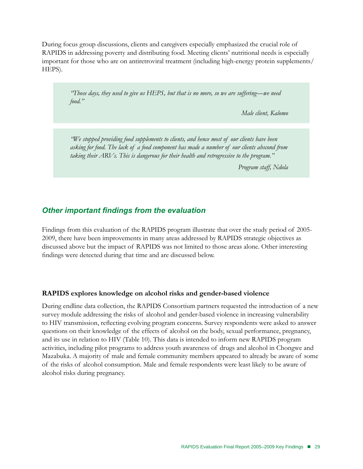During focus group discussions, clients and caregivers especially emphasized the crucial role of RAPIDS in addressing poverty and distributing food. Meeting clients' nutritional needs is especially important for those who are on antiretroviral treatment (including high-energy protein supplements/ HEPS).

> *"Those days, they used to give us HEPS, but that is no more, so we are suffering—we need food."*

> > *Male client, Kalomo*

*"We stopped providing food supplements to clients, and hence most of our clients have been asking for food. The lack of a food component has made a number of our clients abscond from taking their ARVs. This is dangerous for their health and retrogressive to the program."* 

*Program staff, Ndola*

# *Other important findings from the evaluation*

Findings from this evaluation of the RAPIDS program illustrate that over the study period of 2005- 2009, there have been improvements in many areas addressed by RAPIDS strategic objectives as discussed above but the impact of RAPIDS was not limited to those areas alone. Other interesting findings were detected during that time and are discussed below.

#### **RAPIDS explores knowledge on alcohol risks and gender-based violence**

During endline data collection, the RAPIDS Consortium partners requested the introduction of a new survey module addressing the risks of alcohol and gender-based violence in increasing vulnerability to HIV transmission, reflecting evolving program concerns. Survey respondents were asked to answer questions on their knowledge of the effects of alcohol on the body, sexual performance, pregnancy, and its use in relation to HIV (Table 10). This data is intended to inform new RAPIDS program activities, including pilot programs to address youth awareness of drugs and alcohol in Chongwe and Mazabuka. A majority of male and female community members appeared to already be aware of some of the risks of alcohol consumption. Male and female respondents were least likely to be aware of alcohol risks during pregnancy.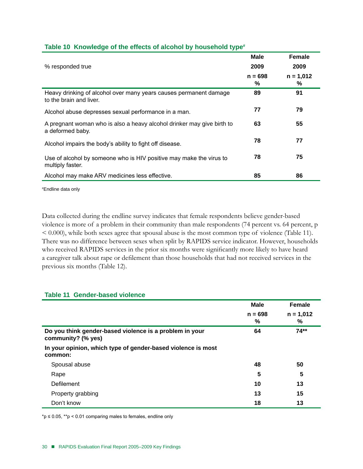| % responded true                                                                             | Male<br>2009   | <b>Female</b><br>2009 |
|----------------------------------------------------------------------------------------------|----------------|-----------------------|
|                                                                                              | $n = 698$<br>℅ | $n = 1,012$<br>℅      |
| Heavy drinking of alcohol over many years causes permanent damage<br>to the brain and liver. | 89             | 91                    |
| Alcohol abuse depresses sexual performance in a man.                                         | 77             | 79                    |
| A pregnant woman who is also a heavy alcohol drinker may give birth to<br>a deformed baby.   | 63             | 55                    |
| Alcohol impairs the body's ability to fight off disease.                                     | 78             | 77                    |
| Use of alcohol by someone who is HIV positive may make the virus to<br>multiply faster.      | 78             | 75                    |
| Alcohol may make ARV medicines less effective.                                               | 85             | 86                    |

# **Table 10 Knowledge of the effects of alcohol by household type#**

# Endline data only

Data collected during the endline survey indicates that female respondents believe gender-based violence is more of a problem in their community than male respondents (74 percent vs. 64 percent, p < 0.000), while both sexes agree that spousal abuse is the most common type of violence (Table 11). There was no difference between sexes when split by RAPIDS service indicator. However, households who received RAPIDS services in the prior six months were significantly more likely to have heard a caregiver talk about rape or defilement than those households that had not received services in the previous six months (Table 12).

# **Table 11 Gender-based violence**

|                                                                               | <b>Male</b>    | <b>Female</b>    |  |
|-------------------------------------------------------------------------------|----------------|------------------|--|
|                                                                               | $n = 698$<br>% | $n = 1,012$<br>% |  |
| Do you think gender-based violence is a problem in your<br>community? (% yes) | 64             | $74**$           |  |
| In your opinion, which type of gender-based violence is most<br>common:       |                |                  |  |
| Spousal abuse                                                                 | 48             | 50               |  |
| Rape                                                                          | 5              | 5                |  |
| Defilement                                                                    | 10             | 13               |  |
| Property grabbing                                                             | 13             | 15               |  |
| Don't know                                                                    | 18             | 13               |  |

\*p ≤ 0.05, \*\*p < 0.01 comparing males to females, endline only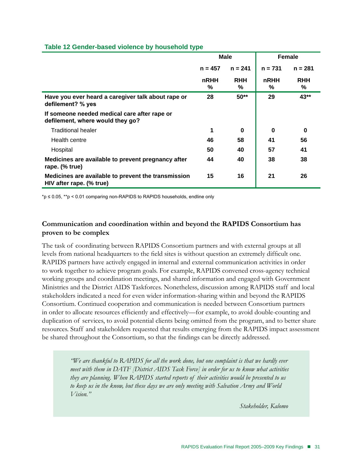|                                                                                  | <b>Male</b> |                 | Female    |                 |
|----------------------------------------------------------------------------------|-------------|-----------------|-----------|-----------------|
|                                                                                  | $n = 457$   | $n = 241$       | $n = 731$ | $n = 281$       |
|                                                                                  | nRHH<br>%   | <b>RHH</b><br>℅ | nRHH<br>℅ | <b>RHH</b><br>℅ |
| Have you ever heard a caregiver talk about rape or<br>defilement? % yes          | 28          | $50**$          | 29        | 43**            |
| If someone needed medical care after rape or<br>defilement, where would they go? |             |                 |           |                 |
| <b>Traditional healer</b>                                                        | 1           | 0               | 0         | 0               |
| Health centre                                                                    | 46          | 58              | 41        | 56              |
| Hospital                                                                         | 50          | 40              | 57        | 41              |
| Medicines are available to prevent pregnancy after<br>rape. (% true)             | 44          | 40              | 38        | 38              |
| Medicines are available to prevent the transmission<br>HIV after rape. (% true)  | 15          | 16              | 21        | 26              |

# **Table 12 Gender-based violence by household type**

\*p ≤ 0.05, \*\*p < 0.01 comparing non-RAPIDS to RAPIDS households, endline only

# **Communication and coordination within and beyond the RAPIDS Consortium has proven to be complex**

The task of coordinating between RAPIDS Consortium partners and with external groups at all levels from national headquarters to the field sites is without question an extremely difficult one. RAPIDS partners have actively engaged in internal and external communication activities in order to work together to achieve program goals. For example, RAPIDS convened cross-agency technical working groups and coordination meetings, and shared information and engaged with Government Ministries and the District AIDS Taskforces. Nonetheless, discussion among RAPIDS staff and local stakeholders indicated a need for even wider information-sharing within and beyond the RAPIDS Consortium. Continued cooperation and communication is needed between Consortium partners in order to allocate resources efficiently and effectively—for example, to avoid double-counting and duplication of services, to avoid potential clients being omitted from the program, and to better share resources. Staff and stakeholders requested that results emerging from the RAPIDS impact assessment be shared throughout the Consortium, so that the findings can be directly addressed.

> *"We are thankful to RAPIDS for all the work done, but one complaint is that we hardly ever meet with them in DATF [District AIDS Task Force] in order for us to know what activities they are planning. When RAPIDS started reports of their activities would be presented to us to keep us in the know, but these days we are only meeting with Salvation Army and World Vision."*

> > *Stakeholder, Kalomo*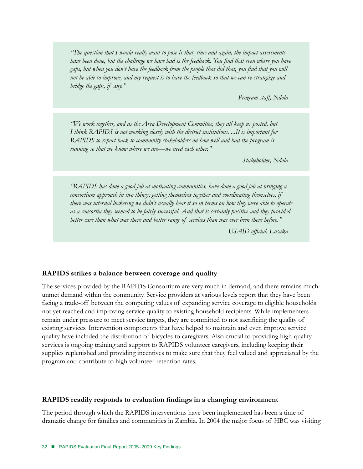*"The question that I would really want to pose is that, time and again, the impact assessments have been done, but the challenge we have had is the feedback. You find that even where you have gaps, but when you don't have the feedback from the people that did that, you find that you will not be able to improve, and my request is to have the feedback so that we can re-strategize and bridge the gaps, if any."* 

*Program staff, Ndola*

*"We work together, and as the Area Development Committee, they all keep us posted, but I think RAPIDS is not working closely with the district institutions. ...It is important for RAPIDS to report back to community stakeholders on how well and bad the program is running so that we know where we are—we need each other."* 

*Stakeholder, Ndola*

*"RAPIDS has done a good job at motivating communities, have done a good job at bringing a consortium approach in two things; getting themselves together and coordinating themselves, if there was internal bickering we didn't usually hear it so in terms on how they were able to operate as a consortia they seemed to be fairly successful. And that is certainly positive and they provided better care than what was there and better range of services than was ever been there before."* 

*USAID official, Lusaka*

#### **RAPIDS strikes a balance between coverage and quality**

The services provided by the RAPIDS Consortium are very much in demand, and there remains much unmet demand within the community. Service providers at various levels report that they have been facing a trade-off between the competing values of expanding service coverage to eligible households not yet reached and improving service quality to existing household recipients. While implementers remain under pressure to meet service targets, they are committed to not sacrificing the quality of existing services. Intervention components that have helped to maintain and even improve service quality have included the distribution of bicycles to caregivers. Also crucial to providing high-quality services is ongoing training and support to RAPIDS volunteer caregivers, including keeping their supplies replenished and providing incentives to make sure that they feel valued and appreciated by the program and contribute to high volunteer retention rates.

#### **RAPIDS readily responds to evaluation findings in a changing environment**

The period through which the RAPIDS interventions have been implemented has been a time of dramatic change for families and communities in Zambia. In 2004 the major focus of HBC was visiting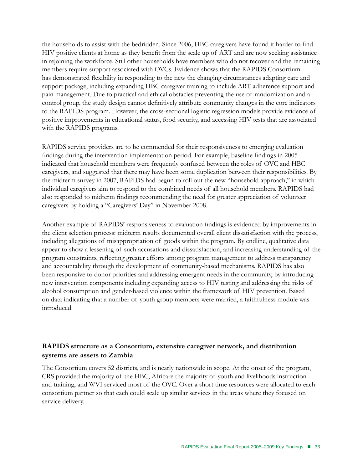the households to assist with the bedridden. Since 2006, HBC caregivers have found it harder to find HIV positive clients at home as they benefit from the scale up of ART and are now seeking assistance in rejoining the workforce. Still other households have members who do not recover and the remaining members require support associated with OVCs. Evidence shows that the RAPIDS Consortium has demonstrated flexibility in responding to the new the changing circumstances adapting care and support package, including expanding HBC caregiver training to include ART adherence support and pain management. Due to practical and ethical obstacles preventing the use of randomization and a control group, the study design cannot definitively attribute community changes in the core indicators to the RAPIDS program. However, the cross-sectional logistic regression models provide evidence of positive improvements in educational status, food security, and accessing HIV tests that are associated with the RAPIDS programs.

RAPIDS service providers are to be commended for their responsiveness to emerging evaluation findings during the intervention implementation period. For example, baseline findings in 2005 indicated that household members were frequently confused between the roles of OVC and HBC caregivers, and suggested that there may have been some duplication between their responsibilities. By the midterm survey in 2007, RAPIDS had begun to roll out the new "household approach," in which individual caregivers aim to respond to the combined needs of all household members. RAPIDS had also responded to midterm findings recommending the need for greater appreciation of volunteer caregivers by holding a "Caregivers' Day" in November 2008.

Another example of RAPIDS' responsiveness to evaluation findings is evidenced by improvements in the client selection process: midterm results documented overall client dissatisfaction with the process, including allegations of misappropriation of goods within the program. By endline, qualitative data appear to show a lessening of such accusations and dissatisfaction, and increasing understanding of the program constraints, reflecting greater efforts among program management to address transparency and accountability through the development of community-based mechanisms. RAPIDS has also been responsive to donor priorities and addressing emergent needs in the community, by introducing new intervention components including expanding access to HIV testing and addressing the risks of alcohol consumption and gender-based violence within the framework of HIV prevention. Based on data indicating that a number of youth group members were married, a faithfulness module was introduced.

# **RAPIDS structure as a Consortium, extensive caregiver network, and distribution systems are assets to Zambia**

The Consortium covers 52 districts, and is nearly nationwide in scope. At the onset of the program, CRS provided the majority of the HBC, Africare the majority of youth and livelihoods instruction and training, and WVI serviced most of the OVC. Over a short time resources were allocated to each consortium partner so that each could scale up similar services in the areas where they focused on service delivery.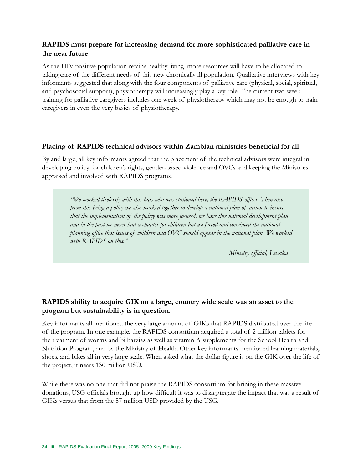# **RAPIDS must prepare for increasing demand for more sophisticated palliative care in the near future**

As the HIV-positive population retains healthy living, more resources will have to be allocated to taking care of the different needs of this new chronically ill population. Qualitative interviews with key informants suggested that along with the four components of palliative care (physical, social, spiritual, and psychosocial support), physiotherapy will increasingly play a key role. The current two-week training for palliative caregivers includes one week of physiotherapy which may not be enough to train caregivers in even the very basics of physiotherapy.

# **Placing of RAPIDS technical advisors within Zambian ministries beneficial for all**

By and large, all key informants agreed that the placement of the technical advisors were integral in developing policy for children's rights, gender-based violence and OVCs and keeping the Ministries appraised and involved with RAPIDS programs.

*"We worked tirelessly with this lady who was stationed here, the RAPIDS officer. Then also from this being a policy we also worked together to develop a national plan of action to insure that the implementation of the policy was more focused, we have this national development plan and in the past we never had a chapter for children but we forced and convinced the national planning office that issues of children and OVC should appear in the national plan. We worked with RAPIDS on this."*

*Ministry official, Lusaka*

# **RAPIDS ability to acquire GIK on a large, country wide scale was an asset to the program but sustainability is in question.**

Key informants all mentioned the very large amount of GIKs that RAPIDS distributed over the life of the program. In one example, the RAPIDS consortium acquired a total of 2 million tablets for the treatment of worms and bilharzias as well as vitamin A supplements for the School Health and Nutrition Program, run by the Ministry of Health. Other key informants mentioned learning materials, shoes, and bikes all in very large scale. When asked what the dollar figure is on the GIK over the life of the project, it nears 130 million USD.

While there was no one that did not praise the RAPIDS consortium for brining in these massive donations, USG officials brought up how difficult it was to disaggregate the impact that was a result of GIKs versus that from the 57 million USD provided by the USG.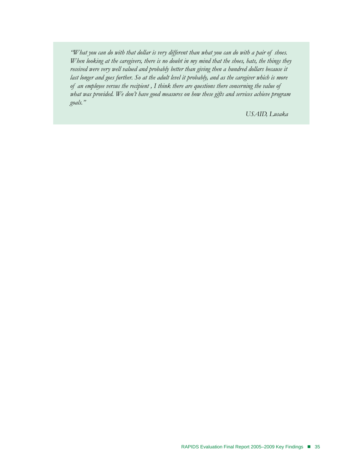*"What you can do with that dollar is very different than what you can do with a pair of shoes. When looking at the caregivers, there is no doubt in my mind that the shoes, hats, the things they received were very well valued and probably better than giving then a hundred dollars because it*  last longer and goes further. So at the adult level it probably, and as the caregiver which is more *of an employee versus the recipient , I think there are questions there concerning the value of what was provided. We don't have good measures on how these gifts and services achieve program goals."* 

*USAID, Lusaka*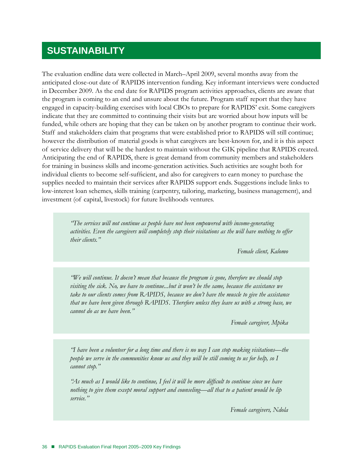# **SUSTAINABILITY**

The evaluation endline data were collected in March–April 2009, several months away from the anticipated close-out date of RAPIDS intervention funding. Key informant interviews were conducted in December 2009. As the end date for RAPIDS program activities approaches, clients are aware that the program is coming to an end and unsure about the future. Program staff report that they have engaged in capacity-building exercises with local CBOs to prepare for RAPIDS' exit. Some caregivers indicate that they are committed to continuing their visits but are worried about how inputs will be funded, while others are hoping that they can be taken on by another program to continue their work. Staff and stakeholders claim that programs that were established prior to RAPIDS will still continue; however the distribution of material goods is what caregivers are best-known for, and it is this aspect of service delivery that will be the hardest to maintain without the GIK pipeline that RAPIDS created. Anticipating the end of RAPIDS, there is great demand from community members and stakeholders for training in business skills and income-generation activities. Such activities are sought both for individual clients to become self-sufficient, and also for caregivers to earn money to purchase the supplies needed to maintain their services after RAPIDS support ends. Suggestions include links to low-interest loan schemes, skills training (carpentry, tailoring, marketing, business management), and investment (of capital, livestock) for future livelihoods ventures.

*"The services will not continue as people have not been empowered with income-generating activities. Even the caregivers will completely stop their visitations as the will have nothing to offer their clients."* 

*Female client, Kalomo*

*"We will continue. It doesn't mean that because the program is gone, therefore we should stop visiting the sick. No, we have to continue...but it won't be the same, because the assistance we take to our clients comes from RAPIDS, because we don't have the muscle to give the assistance that we have been given through RAPIDS. Therefore unless they leave us with a strong base, we cannot do as we have been."* 

*Female caregiver, Mpika*

*"I have been a volunteer for a long time and there is no way I can stop making visitations—the people we serve in the communities know us and they will be still coming to us for help, so I cannot stop."* 

*"As much as I would like to continue, I feel it will be more difficult to continue since we have nothing to give them except moral support and counseling—all that to a patient would be lip service."* 

*Female caregivers, Ndola*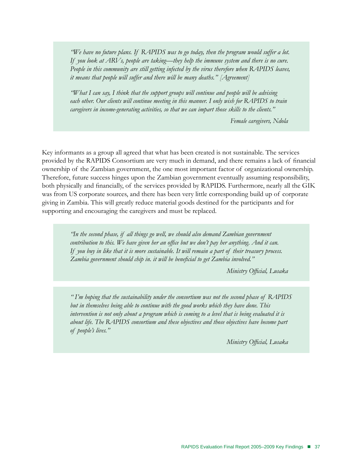*"We have no future plans. If RAPIDS was to go today, then the program would suffer a lot. If you look at ARVs, people are taking—they help the immune system and there is no cure. People in this community are still getting infected by the virus therefore when RAPIDS leaves, it means that people will suffer and there will be many deaths." [Agreement]* 

*"What I can say, I think that the support groups will continue and people will be advising*  each other. Our clients will continue meeting in this manner. I only wish for RAPIDS to train *caregivers in income-generating activities, so that we can impart those skills to the clients."* 

*Female caregivers, Ndola*

Key informants as a group all agreed that what has been created is not sustainable. The services provided by the RAPIDS Consortium are very much in demand, and there remains a lack of financial ownership of the Zambian government, the one most important factor of organizational ownership. Therefore, future success hinges upon the Zambian government eventually assuming responsibility, both physically and financially, of the services provided by RAPIDS. Furthermore, nearly all the GIK was from US corporate sources, and there has been very little corresponding build up of corporate giving in Zambia. This will greatly reduce material goods destined for the participants and for supporting and encouraging the caregivers and must be replaced.

> *"In the second phase, if all things go well, we should also demand Zambian government contribution to this. We have given her an office but we don't pay her anything. And it can. If you buy in like that it is more sustainable. It will remain a part of their treasury process. Zambia government should chip in. it will be beneficial to get Zambia involved."*

> > *Ministry Official, Lusaka*

*" I'm hoping that the sustainability under the consortium was not the second phase of RAPIDS but in themselves being able to continue with the good works which they have done. This intervention is not only about a program which is coming to a level that is being evaluated it is about life. The RAPIDS consortium and these objectives and those objectives have become part of people's lives."* 

*Ministry Official, Lusaka*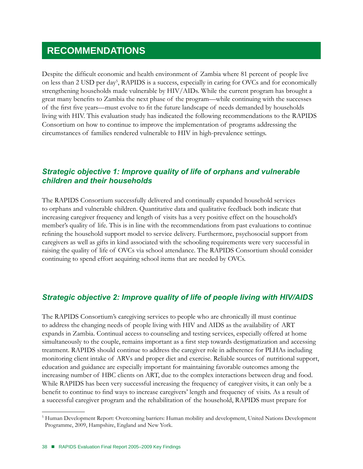# **RECOMMENDATIONS**

Despite the difficult economic and health environment of Zambia where 81 percent of people live on less than 2 USD per day<sup>5</sup>, RAPIDS is a success, especially in caring for OVCs and for economically strengthening households made vulnerable by HIV/AIDs. While the current program has brought a great many benefits to Zambia the next phase of the program—while continuing with the successes of the first five years—must evolve to fit the future landscape of needs demanded by households living with HIV. This evaluation study has indicated the following recommendations to the RAPIDS Consortium on how to continue to improve the implementation of programs addressing the circumstances of families rendered vulnerable to HIV in high-prevalence settings.

# *Strategic objective 1: Improve quality of life of orphans and vulnerable children and their households*

The RAPIDS Consortium successfully delivered and continually expanded household services to orphans and vulnerable children. Quantitative data and qualitative feedback both indicate that increasing caregiver frequency and length of visits has a very positive effect on the household's member's quality of life. This is in line with the recommendations from past evaluations to continue refining the household support model to service delivery. Furthermore, psychosocial support from caregivers as well as gifts in kind associated with the schooling requirements were very successful in raising the quality of life of OVCs via school attendance. The RAPIDS Consortium should consider continuing to spend effort acquiring school items that are needed by OVCs.

# *Strategic objective 2: Improve quality of life of people living with HIV/AIDS*

The RAPIDS Consortium's caregiving services to people who are chronically ill must continue to address the changing needs of people living with HIV and AIDS as the availability of ART expands in Zambia. Continual access to counseling and testing services, especially offered at home simultaneously to the couple, remains important as a first step towards destigmatization and accessing treatment. RAPIDS should continue to address the caregiver role in adherence for PLHAs including monitoring client intake of ARVs and proper diet and exercise. Reliable sources of nutritional support, education and guidance are especially important for maintaining favorable outcomes among the increasing number of HBC clients on ART, due to the complex interactions between drug and food. While RAPIDS has been very successful increasing the frequency of caregiver visits, it can only be a benefit to continue to find ways to increase caregivers' length and frequency of visits. As a result of a successful caregiver program and the rehabilitation of the household, RAPIDS must prepare for

<sup>5</sup> Human Development Report: Overcoming barriers: Human mobility and development, United Nations Development Programme, 2009, Hampshire, England and New York.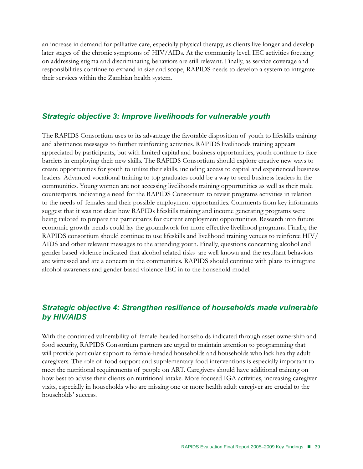an increase in demand for palliative care, especially physical therapy, as clients live longer and develop later stages of the chronic symptoms of HIV/AIDs. At the community level, IEC activities focusing on addressing stigma and discriminating behaviors are still relevant. Finally, as service coverage and responsibilities continue to expand in size and scope, RAPIDS needs to develop a system to integrate their services within the Zambian health system.

# *Strategic objective 3: Improve livelihoods for vulnerable youth*

The RAPIDS Consortium uses to its advantage the favorable disposition of youth to lifeskills training and abstinence messages to further reinforcing activities. RAPIDS livelihoods training appears appreciated by participants, but with limited capital and business opportunities, youth continue to face barriers in employing their new skills. The RAPIDS Consortium should explore creative new ways to create opportunities for youth to utilize their skills, including access to capital and experienced business leaders. Advanced vocational training to top graduates could be a way to seed business leaders in the communities. Young women are not accessing livelihoods training opportunities as well as their male counterparts, indicating a need for the RAPIDS Consortium to revisit programs activities in relation to the needs of females and their possible employment opportunities. Comments from key informants suggest that it was not clear how RAPIDs lifeskills training and income generating programs were being tailored to prepare the participants for current employment opportunities. Research into future economic growth trends could lay the groundwork for more effective livelihood programs. Finally, the RAPIDS consortium should continue to use lifeskills and livelihood training venues to reinforce HIV/ AIDS and other relevant messages to the attending youth. Finally, questions concerning alcohol and gender based violence indicated that alcohol related risks are well known and the resultant behaviors are witnessed and are a concern in the communities. RAPIDS should continue with plans to integrate alcohol awareness and gender based violence IEC in to the household model.

# *Strategic objective 4: Strengthen resilience of households made vulnerable by HIV/AIDS*

With the continued vulnerability of female-headed households indicated through asset ownership and food security, RAPIDS Consortium partners are urged to maintain attention to programming that will provide particular support to female-headed households and households who lack healthy adult caregivers. The role of food support and supplementary food interventions is especially important to meet the nutritional requirements of people on ART. Caregivers should have additional training on how best to advise their clients on nutritional intake. More focused IGA activities, increasing caregiver visits, especially in households who are missing one or more health adult caregiver are crucial to the households' success.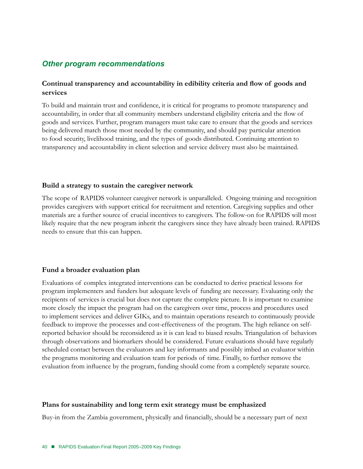# *Other program recommendations*

# **Continual transparency and accountability in edibility criteria and flow of goods and services**

To build and maintain trust and confidence, it is critical for programs to promote transparency and accountability, in order that all community members understand eligibility criteria and the flow of goods and services. Further, program managers must take care to ensure that the goods and services being delivered match those most needed by the community, and should pay particular attention to food security, livelihood training, and the types of goods distributed. Continuing attention to transparency and accountability in client selection and service delivery must also be maintained.

# **Build a strategy to sustain the caregiver network**

The scope of RAPIDS volunteer caregiver network is unparalleled. Ongoing training and recognition provides caregivers with support critical for recruitment and retention. Caregiving supplies and other materials are a further source of crucial incentives to caregivers. The follow-on for RAPIDS will most likely require that the new program inherit the caregivers since they have already been trained. RAPIDS needs to ensure that this can happen.

# **Fund a broader evaluation plan**

Evaluations of complex integrated interventions can be conducted to derive practical lessons for program implementers and funders but adequate levels of funding are necessary. Evaluating only the recipients of services is crucial but does not capture the complete picture. It is important to examine more closely the impact the program had on the caregivers over time, process and procedures used to implement services and deliver GIKs, and to maintain operations research to continuously provide feedback to improve the processes and cost-effectiveness of the program. The high reliance on selfreported behavior should be reconsidered as it is can lead to biased results. Triangulation of behaviors through observations and biomarkers should be considered. Future evaluations should have regularly scheduled contact between the evaluators and key informants and possibly imbed an evaluator within the programs monitoring and evaluation team for periods of time. Finally, to further remove the evaluation from influence by the program, funding should come from a completely separate source.

# **Plans for sustainability and long term exit strategy must be emphasized**

Buy-in from the Zambia government, physically and financially, should be a necessary part of next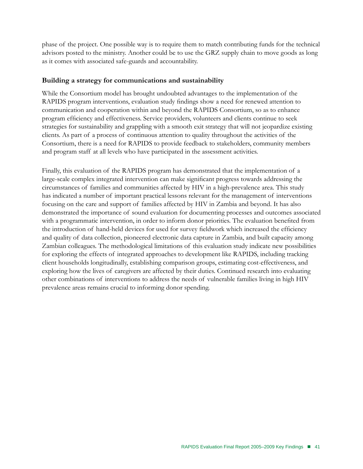phase of the project. One possible way is to require them to match contributing funds for the technical advisors posted to the ministry. Another could be to use the GRZ supply chain to move goods as long as it comes with associated safe-guards and accountability.

# **Building a strategy for communications and sustainability**

While the Consortium model has brought undoubted advantages to the implementation of the RAPIDS program interventions, evaluation study findings show a need for renewed attention to communication and cooperation within and beyond the RAPIDS Consortium, so as to enhance program efficiency and effectiveness. Service providers, volunteers and clients continue to seek strategies for sustainability and grappling with a smooth exit strategy that will not jeopardize existing clients. As part of a process of continuous attention to quality throughout the activities of the Consortium, there is a need for RAPIDS to provide feedback to stakeholders, community members and program staff at all levels who have participated in the assessment activities.

Finally, this evaluation of the RAPIDS program has demonstrated that the implementation of a large-scale complex integrated intervention can make significant progress towards addressing the circumstances of families and communities affected by HIV in a high-prevalence area. This study has indicated a number of important practical lessons relevant for the management of interventions focusing on the care and support of families affected by HIV in Zambia and beyond. It has also demonstrated the importance of sound evaluation for documenting processes and outcomes associated with a programmatic intervention, in order to inform donor priorities. The evaluation benefited from the introduction of hand-held devices for used for survey fieldwork which increased the efficiency and quality of data collection, pioneered electronic data capture in Zambia, and built capacity among Zambian colleagues. The methodological limitations of this evaluation study indicate new possibilities for exploring the effects of integrated approaches to development like RAPIDS, including tracking client households longitudinally, establishing comparison groups, estimating cost-effectiveness, and exploring how the lives of caregivers are affected by their duties. Continued research into evaluating other combinations of interventions to address the needs of vulnerable families living in high HIV prevalence areas remains crucial to informing donor spending.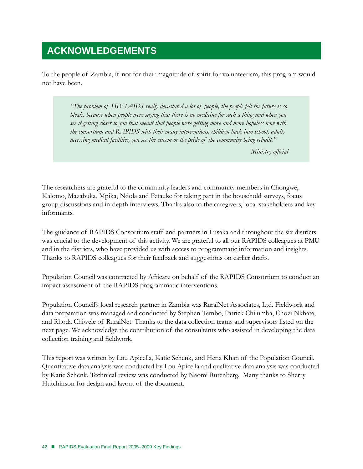# **ACKNOWLEDGEMENTS**

To the people of Zambia, if not for their magnitude of spirit for volunteerism, this program would not have been.

> *"The problem of HIV/AIDS really devastated a lot of people, the people felt the future is so bleak, because when people were saying that there is no medicine for such a thing and when you see it getting closer to you that meant that people were getting more and more hopeless now with the consortium and RAPIDS with their many interventions, children back into school, adults accessing medical facilities, you see the esteem or the pride of the community being rebuilt."*

> > *Ministry official*

The researchers are grateful to the community leaders and community members in Chongwe, Kalomo, Mazabuka, Mpika, Ndola and Petauke for taking part in the household surveys, focus group discussions and in-depth interviews. Thanks also to the caregivers, local stakeholders and key informants.

The guidance of RAPIDS Consortium staff and partners in Lusaka and throughout the six districts was crucial to the development of this activity. We are grateful to all our RAPIDS colleagues at PMU and in the districts, who have provided us with access to programmatic information and insights. Thanks to RAPIDS colleagues for their feedback and suggestions on earlier drafts.

Population Council was contracted by Africare on behalf of the RAPIDS Consortium to conduct an impact assessment of the RAPIDS programmatic interventions.

Population Council's local research partner in Zambia was RuralNet Associates, Ltd. Fieldwork and data preparation was managed and conducted by Stephen Tembo, Patrick Chilumba, Chozi Nkhata, and Rhoda Chiwele of RuralNet. Thanks to the data collection teams and supervisors listed on the next page. We acknowledge the contribution of the consultants who assisted in developing the data collection training and fieldwork.

This report was written by Lou Apicella, Katie Schenk, and Hena Khan of the Population Council. Quantitative data analysis was conducted by Lou Apicella and qualitative data analysis was conducted by Katie Schenk. Technical review was conducted by Naomi Rutenberg. Many thanks to Sherry Hutchinson for design and layout of the document.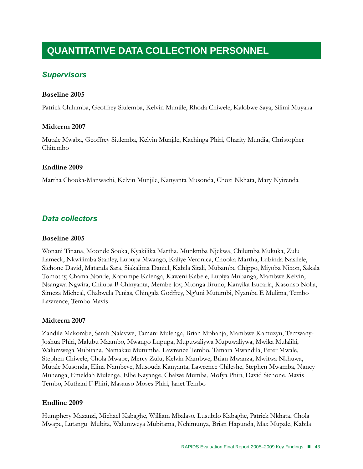# **Quantitative Data Collection Personnel**

# *Supervisors*

# **Baseline 2005**

Patrick Chilumba, Geoffrey Siulemba, Kelvin Munjile, Rhoda Chiwele, Kalobwe Saya, Silimi Muyaka

#### **Midterm 2007**

Mutale Mwaba, Geoffrey Siulemba, Kelvin Munjile, Kachinga Phiri, Charity Mundia, Christopher Chitembo

#### **Endline 2009**

Martha Chooka-Manwachi, Kelvin Munjile, Kanyanta Musonda, Chozi Nkhata, Mary Nyirenda

# *Data collectors*

#### **Baseline 2005**

Wonani Tinana, Moonde Sooka, Kyakilika Martha, Munkmba Njekwa, Chilumba Mukuka, Zulu Lameck, Nkwilimba Stanley, Lupupa Mwango, Kaliye Veronica, Chooka Martha, Lubinda Nasilele, Sichone David, Matanda Sara, Siakalima Daniel, Kabila Sitali, Mubambe Chippo, Miyoba Nixon, Sakala Tomothy, Chama Nonde, Kapumpe Kalenga, Kaweni Kabele, Lupiya Mubanga, Mambwe Kelvin, Nsangwa Ngwira, Chiluba B Chinyanta, Membe Joy, Mtonga Bruno, Kanyika Eucaria, Kasonso Nolia, Simeza Micheal, Chabwela Penias, Chingala Godfrey, Ng'uni Mutumbi, Nyambe E Mulima, Tembo Lawrence, Tembo Mavis

# **Midterm 2007**

Zandile Makombe, Sarah Nalavwe, Tamani Mulenga, Brian Mphanja, Mambwe Kamuzyu, Temwany-Joshua Phiri, Malubu Maambo, Mwango Lupupa, Mupuwaliywa Mupuwaliywa, Mwika Mulaliki, Walumwega Mubitana, Namakau Mutumba, Lawrence Tembo, Tamara Mwandila, Peter Mwale, Stephen Chiwele, Chola Mwape, Mercy Zulu, Kelvin Mambwe, Brian Mwanza, Mwitwa Nkhuwa, Mutale Musonda, Elina Nambeye, Musouda Kanyanta, Lawrence Chileshe, Stephen Mwamba, Nancy Muhenga, Emeldah Mulenga, Elbe Kayange, Chalwe Mumba, Mofya Phiri, David Sichone, Mavis Tembo, Muthani F Phiri, Masauso Moses Phiri, Janet Tembo

#### **Endline 2009**

Humphery Mazanzi, Michael Kabaghe, William Mbalaso, Lusubilo Kabaghe, Patrick Nkhata, Chola Mwape, Lutangu Mubita, Walumweya Mubitama, Nchimunya, Brian Hapunda, Max Mupale, Kabila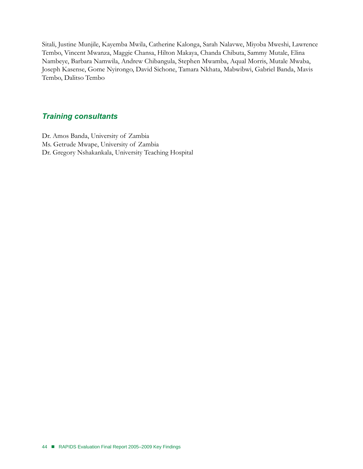Sitali, Justine Munjile, Kayemba Mwila, Catherine Kalonga, Sarah Nalavwe, Miyoba Mweshi, Lawrence Tembo, Vincent Mwanza, Maggie Chansa, Hilton Makaya, Chanda Chibuta, Sammy Mutale, Elina Nambeye, Barbara Namwila, Andrew Chibangula, Stephen Mwamba, Aqual Morris, Mutale Mwaba, Joseph Kasense, Gome Nyirongo, David Sichone, Tamara Nkhata, Mabwibwi, Gabriel Banda, Mavis Tembo, Dalitso Tembo

# *Training consultants*

Dr. Amos Banda, University of Zambia Ms. Getrude Mwape, University of Zambia Dr. Gregory Nshakankala, University Teaching Hospital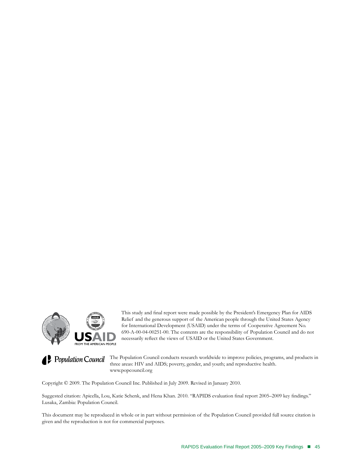

This study and final report were made possible by the President's Emergency Plan for AIDS Relief and the generous support of the American people through the United States Agency for International Development (USAID) under the terms of Cooperative Agreement No. 690-A-00-04-00251-00. The contents are the responsibility of Population Council and do not necessarily reflect the views of USAID or the United States Government.

**Population Council** The Population Council conducts research worldwide to improve policies, programs, and products in three areas: HIV and AIDS; poverty, gender, and youth; and reproductive health. www.popcouncil.org

Copyright © 2009. The Population Council Inc. Published in July 2009. Revised in January 2010.

Suggested citation: Apicella, Lou, Katie Schenk, and Hena Khan. 2010. "RAPIDS evaluation final report 2005–2009 key findings." Lusaka, Zambia: Population Council.

This document may be reproduced in whole or in part without permission of the Population Council provided full source citation is given and the reproduction is not for commercial purposes.